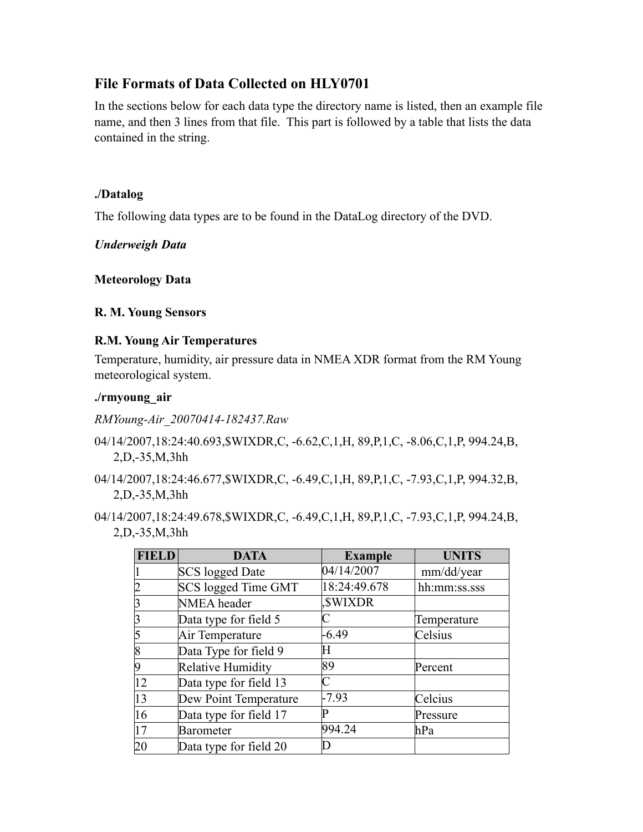# **File Formats of Data Collected on HLY0701**

In the sections below for each data type the directory name is listed, then an example file name, and then 3 lines from that file. This part is followed by a table that lists the data contained in the string.

### **./Datalog**

The following data types are to be found in the DataLog directory of the DVD.

*Underweigh Data*

### **Meteorology Data**

#### **R. M. Young Sensors**

### **R.M. Young Air Temperatures**

Temperature, humidity, air pressure data in NMEA XDR format from the RM Young meteorological system.

### **./rmyoung\_air**

*RMYoung-Air\_20070414-182437.Raw*

- 04/14/2007,18:24:40.693,\$WIXDR,C, -6.62,C,1,H, 89,P,1,C, -8.06,C,1,P, 994.24,B, 2,D,-35,M,3hh
- 04/14/2007,18:24:46.677,\$WIXDR,C, -6.49,C,1,H, 89,P,1,C, -7.93,C,1,P, 994.32,B, 2,D,-35,M,3hh
- 04/14/2007,18:24:49.678,\$WIXDR,C, -6.49,C,1,H, 89,P,1,C, -7.93,C,1,P, 994.24,B, 2,D,-35,M,3hh

| <b>FIELD</b> | <b>DATA</b>            | <b>Example</b> | <b>UNITS</b> |
|--------------|------------------------|----------------|--------------|
|              | <b>SCS</b> logged Date | 04/14/2007     | mm/dd/year   |
|              | SCS logged Time GMT    | 18:24:49.678   | hh:mm:ss.sss |
|              | NMEA header            | <b>SWIXDR</b>  |              |
|              | Data type for field 5  | C              | Temperature  |
|              | Air Temperature        | $-6.49$        | Celsius      |
|              | Data Type for field 9  | H              |              |
|              | Relative Humidity      | 89             | Percent      |
| 12           | Data type for field 13 | C              |              |
| 13           | Dew Point Temperature  | $-7.93$        | Celcius      |
| 16           | Data type for field 17 | P              | Pressure     |
| 17           | <b>Barometer</b>       | 994.24         | hPa          |
| 20           | Data type for field 20 | D              |              |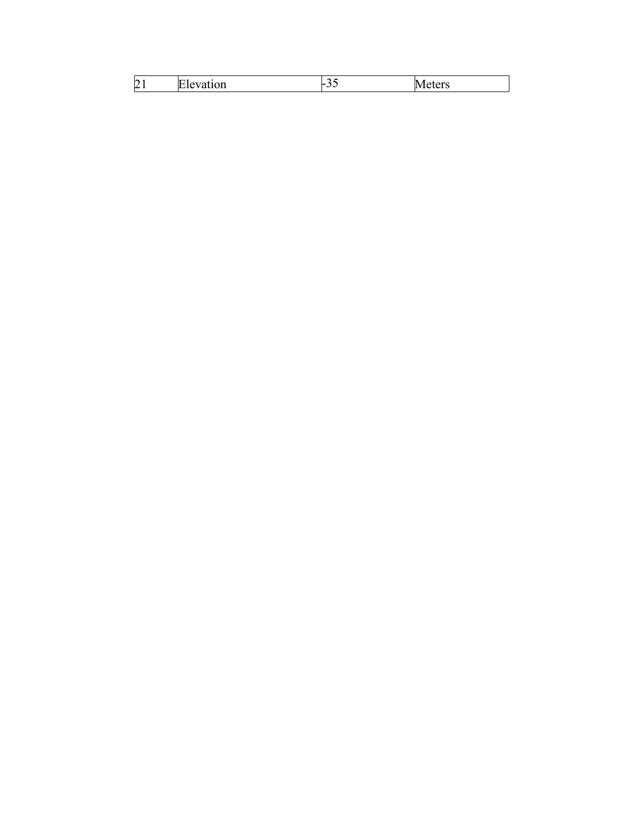| $\sim$<br>motion<br><b>Ele</b><br>∠<br>auvu<br>v | -<br>$\overline{\phantom{a}}$ | IМ<br>20.000<br>$\overline{\phantom{a}}$ |
|--------------------------------------------------|-------------------------------|------------------------------------------|
|--------------------------------------------------|-------------------------------|------------------------------------------|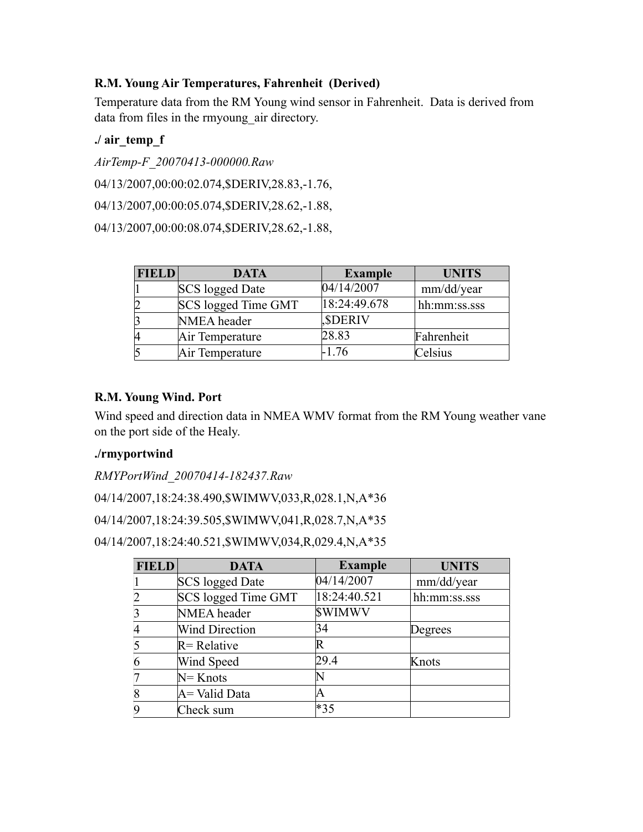### **R.M. Young Air Temperatures, Fahrenheit (Derived)**

Temperature data from the RM Young wind sensor in Fahrenheit. Data is derived from data from files in the rmyoung\_air directory.

## **./ air\_temp\_f**

*AirTemp-F\_20070413-000000.Raw* 

04/13/2007,00:00:02.074,\$DERIV,28.83,-1.76,

04/13/2007,00:00:05.074,\$DERIV,28.62,-1.88,

04/13/2007,00:00:08.074,\$DERIV,28.62,-1.88,

| <b>FIELD</b> | <b>DATA</b>            | <b>Example</b> | <b>UNITS</b> |
|--------------|------------------------|----------------|--------------|
|              | <b>SCS</b> logged Date | 04/14/2007     | mm/dd/year   |
|              | SCS logged Time GMT    | 18:24:49.678   | hh:mm:ss.sss |
|              | NMEA header            | <b>SDERIV</b>  |              |
|              | Air Temperature        | 28.83          | Fahrenheit   |
|              | Air Temperature        | -1.76          | Celsius      |

### **R.M. Young Wind. Port**

Wind speed and direction data in NMEA WMV format from the RM Young weather vane on the port side of the Healy.

# **./rmyportwind**

*RMYPortWind\_20070414-182437.Raw*

04/14/2007,18:24:38.490,\$WIMWV,033,R,028.1,N,A\*36

04/14/2007,18:24:39.505,\$WIMWV,041,R,028.7,N,A\*35

```
04/14/2007,18:24:40.521,$WIMWV,034,R,029.4,N,A*35
```

| <b>FIELD</b> | <b>DATA</b>            | <b>Example</b> | <b>UNITS</b> |
|--------------|------------------------|----------------|--------------|
|              | <b>SCS</b> logged Date | 04/14/2007     | mm/dd/year   |
|              | SCS logged Time GMT    | 18:24:40.521   | hh:mm:ss.sss |
|              | NMEA header            | <b>SWIMWV</b>  |              |
|              | <b>Wind Direction</b>  | 34             | Degrees      |
|              | $R$ = Relative         | R              |              |
|              | Wind Speed             | 29.4           | Knots        |
|              | $N =$ Knots            |                |              |
|              | $A =$ Valid Data       |                |              |
|              | Check sum              | $*35$          |              |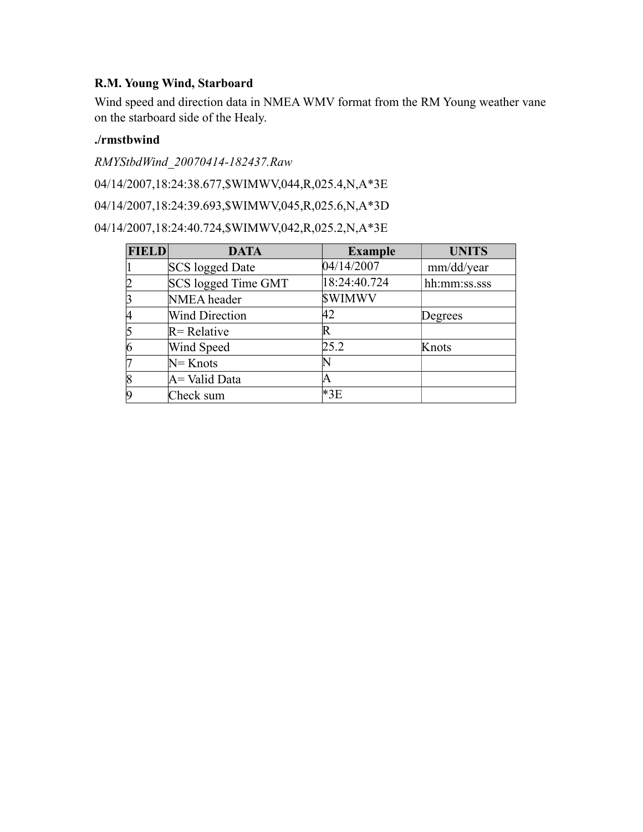# **R.M. Young Wind, Starboard**

Wind speed and direction data in NMEA WMV format from the RM Young weather vane on the starboard side of the Healy.

# **./rmstbwind**

*RMYStbdWind\_20070414-182437.Raw*

04/14/2007,18:24:38.677,\$WIMWV,044,R,025.4,N,A\*3E

04/14/2007,18:24:39.693,\$WIMWV,045,R,025.6,N,A\*3D

04/14/2007,18:24:40.724,\$WIMWV,042,R,025.2,N,A\*3E

| <b>FIELD</b> | <b>DATA</b>                | <b>Example</b> | <b>UNITS</b> |
|--------------|----------------------------|----------------|--------------|
|              | <b>SCS</b> logged Date     | 04/14/2007     | mm/dd/year   |
| 2            | <b>SCS</b> logged Time GMT | 18:24:40.724   | hh:mm:ss.sss |
| 3            | NMEA header                | <b>SWIMWV</b>  |              |
| 14           | <b>Wind Direction</b>      | 42             | Degrees      |
| $\vert$ 5    | $R$ = Relative             | R              |              |
| 6            | Wind Speed                 | 25.2           | Knots        |
|              | $N =$ Knots                |                |              |
| $\vert 8$    | A = Valid Data             | A              |              |
| $\vert 9$    | Check sum                  | $*3E$          |              |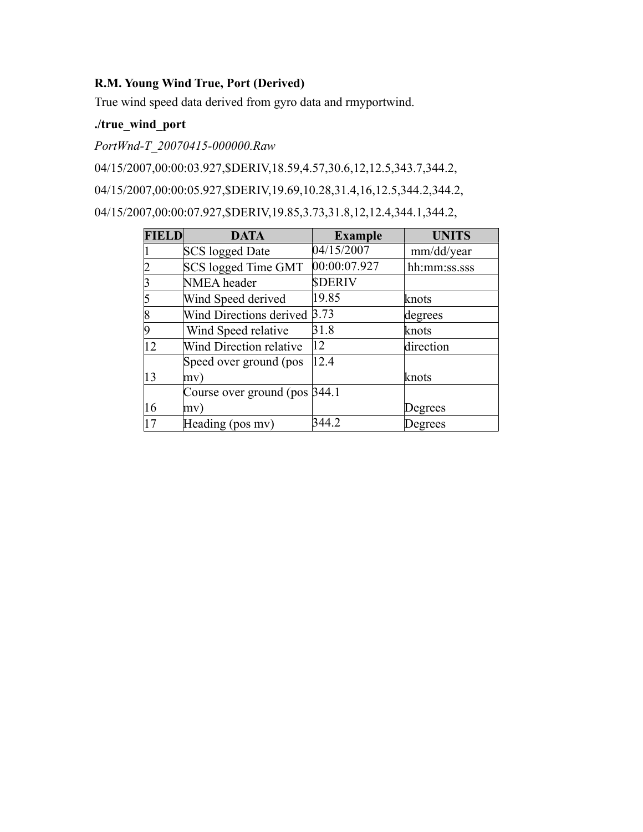# **R.M. Young Wind True, Port (Derived)**

True wind speed data derived from gyro data and rmyportwind.

# **./true\_wind\_port**

*PortWnd-T\_20070415-000000.Raw*

04/15/2007,00:00:03.927,\$DERIV,18.59,4.57,30.6,12,12.5,343.7,344.2,

04/15/2007,00:00:05.927,\$DERIV,19.69,10.28,31.4,16,12.5,344.2,344.2,

04/15/2007,00:00:07.927,\$DERIV,19.85,3.73,31.8,12,12.4,344.1,344.2,

| <b>FIELD</b> | <b>DATA</b>                    | <b>Example</b> | <b>UNITS</b> |
|--------------|--------------------------------|----------------|--------------|
|              | <b>SCS</b> logged Date         | 04/15/2007     | mm/dd/year   |
|              | <b>SCS</b> logged Time GMT     | 00:00:07.927   | hh:mm:ss.sss |
|              | <b>NMEA</b> header             | <b>SDERIV</b>  |              |
|              | Wind Speed derived             | 19.85          | knots        |
|              | Wind Directions derived        | 3.73           | degrees      |
|              | Wind Speed relative            | 31.8           | knots        |
| 12           | Wind Direction relative        | $ 12\rangle$   | direction    |
|              | Speed over ground (pos         | 12.4           |              |
| 13           | mv)                            |                | knots        |
|              | Course over ground (pos 344.1) |                |              |
| 16           | mv)                            |                | Degrees      |
| 17           | Heading (pos mv)               | 344.2          | Degrees      |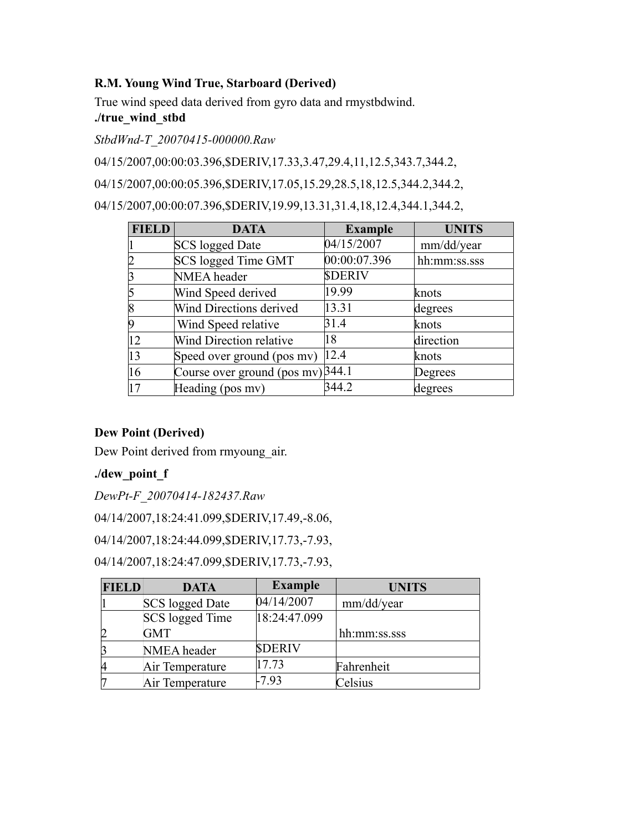### **R.M. Young Wind True, Starboard (Derived)**

True wind speed data derived from gyro data and rmystbdwind.

# **./true\_wind\_stbd**

*StbdWnd-T\_20070415-000000.Raw*

04/15/2007,00:00:03.396,\$DERIV,17.33,3.47,29.4,11,12.5,343.7,344.2,

04/15/2007,00:00:05.396,\$DERIV,17.05,15.29,28.5,18,12.5,344.2,344.2,

04/15/2007,00:00:07.396,\$DERIV,19.99,13.31,31.4,18,12.4,344.1,344.2,

| <b>FIELD</b> | <b>DATA</b>                         | <b>Example</b> | <b>UNITS</b> |
|--------------|-------------------------------------|----------------|--------------|
|              | <b>SCS</b> logged Date              | 04/15/2007     | mm/dd/year   |
|              | SCS logged Time GMT                 | 00:00:07.396   | hh:mm:ss.sss |
|              | NMEA header                         | <b>SDERIV</b>  |              |
|              | Wind Speed derived                  | 19.99          | knots        |
| 8            | Wind Directions derived             | 13.31          | degrees      |
| 19           | Wind Speed relative                 | 31.4           | knots        |
| 12           | Wind Direction relative             | 18             | direction    |
| 13           | Speed over ground (pos mv)          | 12.4           | knots        |
| 16           | Course over ground (pos mv) $344.1$ |                | Degrees      |
| 17           | Heading (pos mv)                    | 344.2          | degrees      |

# **Dew Point (Derived)**

Dew Point derived from rmyoung air.

# **./dew\_point\_f**

*DewPt-F\_20070414-182437.Raw*

04/14/2007,18:24:41.099,\$DERIV,17.49,-8.06,

04/14/2007,18:24:44.099,\$DERIV,17.73,-7.93,

04/14/2007,18:24:47.099,\$DERIV,17.73,-7.93,

| <b>FIELD</b> | <b>DATA</b>     | <b>Example</b> | <b>UNITS</b> |
|--------------|-----------------|----------------|--------------|
|              | SCS logged Date | 04/14/2007     | mm/dd/year   |
|              | SCS logged Time | 18:24:47.099   |              |
|              | <b>GMT</b>      |                | hh:mm:ss.sss |
|              | NMEA header     | <b>SDERIV</b>  |              |
|              | Air Temperature | 17.73          | Fahrenheit   |
|              | Air Temperature | $-7.93$        | Celsius      |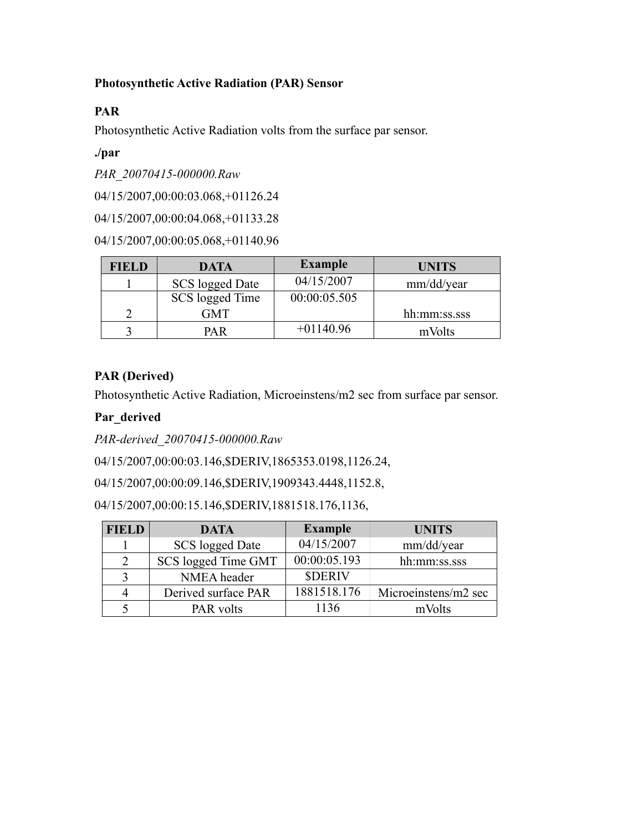## **Photosynthetic Active Radiation (PAR) Sensor**

# **PAR**

Photosynthetic Active Radiation volts from the surface par sensor.

# **./par**

*PAR\_20070415-000000.Raw*

04/15/2007,00:00:03.068,+01126.24

04/15/2007,00:00:04.068,+01133.28

04/15/2007,00:00:05.068,+01140.96

| <b>FIELD</b> | <b>DATA</b>     | <b>Example</b> | <b>UNITS</b> |
|--------------|-----------------|----------------|--------------|
|              | SCS logged Date | 04/15/2007     | mm/dd/year   |
|              | SCS logged Time | 00:00:05.505   |              |
|              | GMT             |                | hh:mm:ss.sss |
|              | PA R            | $+01140.96$    | mVolts       |

# **PAR (Derived)**

Photosynthetic Active Radiation, Microeinstens/m2 sec from surface par sensor.

# **Par\_derived**

*PAR-derived\_20070415-000000.Raw*

04/15/2007,00:00:03.146,\$DERIV,1865353.0198,1126.24,

04/15/2007,00:00:09.146,\$DERIV,1909343.4448,1152.8,

04/15/2007,00:00:15.146,\$DERIV,1881518.176,1136,

| <b>FIELD</b> | <b>DATA</b>         | <b>Example</b> | <b>UNITS</b>         |
|--------------|---------------------|----------------|----------------------|
|              | SCS logged Date     | 04/15/2007     | mm/dd/year           |
| 2            | SCS logged Time GMT | 00:00:05.193   | hh:mm:ss.sss         |
|              | NMEA header         | <b>SDERIV</b>  |                      |
| 4            | Derived surface PAR | 1881518.176    | Microeinstens/m2 sec |
|              | PAR volts           | 1136           | mVolts               |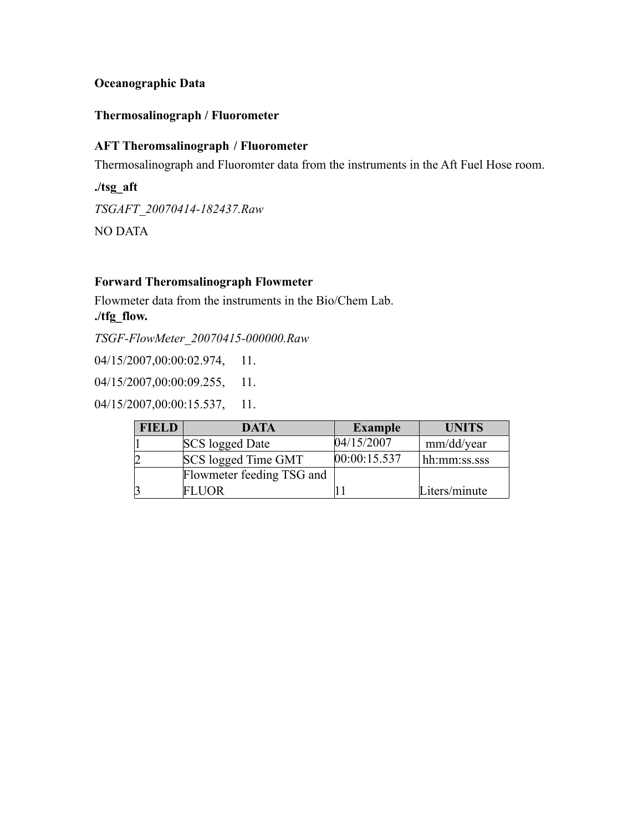### **Oceanographic Data**

#### **Thermosalinograph / Fluorometer**

# **AFT Theromsalinograph / Fluorometer**

Thermosalinograph and Fluoromter data from the instruments in the Aft Fuel Hose room.

**./tsg\_aft** *TSGAFT\_20070414-182437.Raw* NO DATA

#### **Forward Theromsalinograph Flowmeter**

Flowmeter data from the instruments in the Bio/Chem Lab. **./tfg\_flow.**

*TSGF-FlowMeter\_20070415-000000.Raw*

04/15/2007,00:00:02.974, 11.

04/15/2007,00:00:09.255, 11.

04/15/2007,00:00:15.537, 11.

| <b>FIELD</b> | <b>DATA</b>               | <b>Example</b> | <b>UNITS</b>  |
|--------------|---------------------------|----------------|---------------|
|              | SCS logged Date           | 04/15/2007     | mm/dd/year    |
|              | SCS logged Time GMT       | [00:00:15.537] | hh:mm:ss.sss  |
|              | Flowmeter feeding TSG and |                |               |
|              | FLUOR-                    |                | Liters/minute |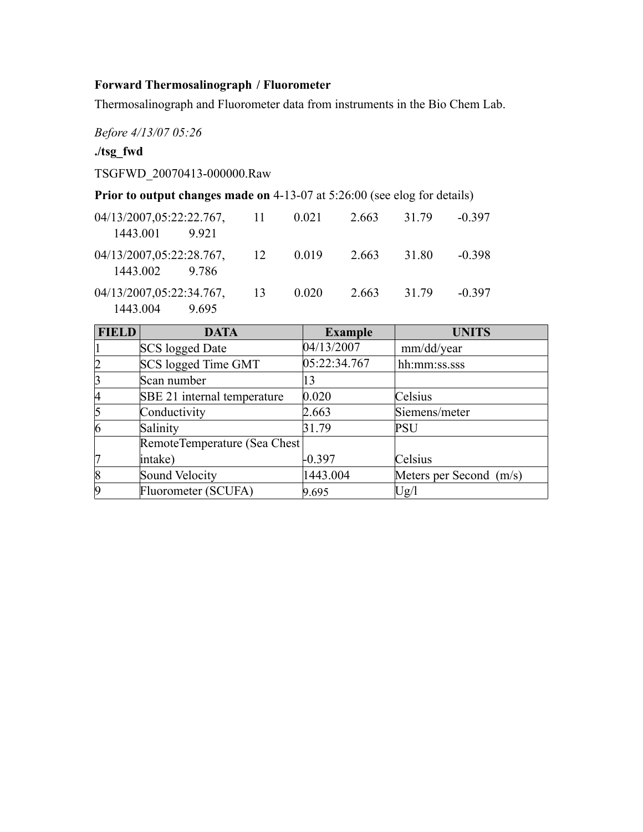# **Forward Thermosalinograph / Fluorometer**

Thermosalinograph and Fluorometer data from instruments in the Bio Chem Lab.

*Before 4/13/07 05:26*

### **./tsg\_fwd**

TSGFWD\_20070413-000000.Raw

### **Prior to output changes made on** 4-13-07 at 5:26:00 (see elog for details)

| 04/13/2007,05:22:22.767,<br>1443.001<br>9921  | -11  | 0.021 | 2.663 | 31 79 | $-0.397$ |
|-----------------------------------------------|------|-------|-------|-------|----------|
| 04/13/2007,05:22:28.767,<br>1443.002<br>9.786 | - 12 | 0.019 | 2.663 | 31.80 | $-0.398$ |
| 04/13/2007,05:22:34.767,<br>1443.004<br>9695  | -13  | 0.020 | 2.663 | 31 79 | $-0.397$ |

| <b>FIELD</b>   | <b>DATA</b>                  | <b>Example</b> | <b>UNITS</b>            |
|----------------|------------------------------|----------------|-------------------------|
|                | <b>SCS</b> logged Date       | 04/13/2007     | mm/dd/year              |
|                | SCS logged Time GMT          | 05:22:34.767   | hh:mm:ss.sss            |
|                | Scan number                  | 13             |                         |
| $\overline{A}$ | SBE 21 internal temperature  | 0.020          | Celsius                 |
|                | Conductivity                 | 2.663          | Siemens/meter           |
| $\overline{6}$ | Salinity                     | 31.79          | <b>PSU</b>              |
|                | RemoteTemperature (Sea Chest |                |                         |
|                | intake)                      | $-0.397$       | Celsius                 |
| 8              | Sound Velocity               | 1443.004       | Meters per Second (m/s) |
| 19             | Fluorometer (SCUFA)          | 9.695          | Ug/l                    |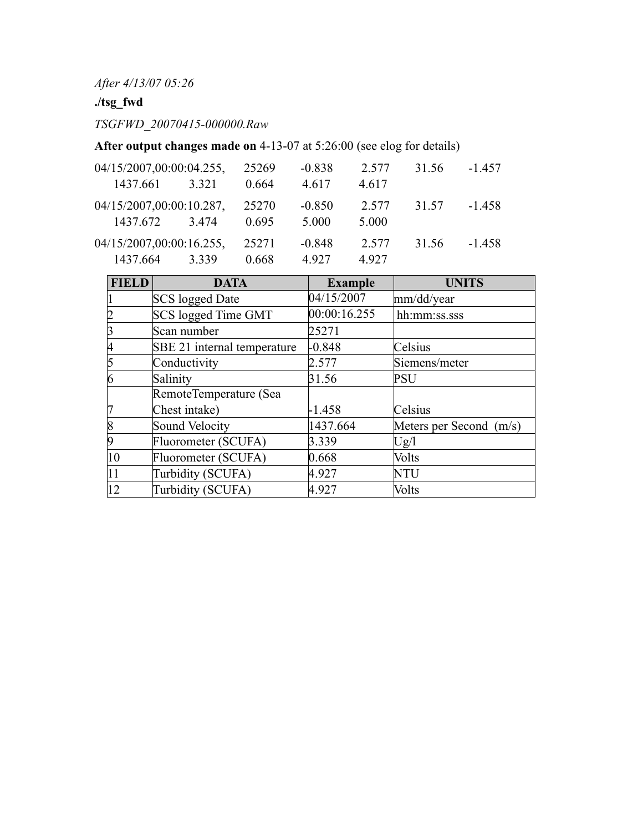*After 4/13/07 05:26*

# **./tsg\_fwd**

*TSGFWD\_20070415-000000.Raw*

**After output changes made on** 4-13-07 at 5:26:00 (see elog for details)

| 04/15/2007,00:00:04.255,<br>1437.661 | 3.321 | 25269<br>0.664 | $-0.838$<br>4.617 | 2.577<br>4.617 | 31.56 | $-1.457$ |
|--------------------------------------|-------|----------------|-------------------|----------------|-------|----------|
| 04/15/2007,00:00:10.287,<br>1437.672 | 3474  | 25270<br>0.695 | $-0.850$<br>5.000 | 2.577<br>5.000 | 31.57 | $-1.458$ |
| 04/15/2007,00:00:16.255,<br>1437.664 | 3339  | 25271<br>0.668 | $-0.848$<br>4.927 | 2.577<br>4.927 | 31.56 | $-1.458$ |

| <b>FIELD</b> | <b>DATA</b>                 | <b>Example</b> | <b>UNITS</b>            |
|--------------|-----------------------------|----------------|-------------------------|
|              | <b>SCS</b> logged Date      | 04/15/2007     | mm/dd/year              |
|              | <b>SCS</b> logged Time GMT  | 00:00:16.255   | hh:mm:ss.sss            |
|              | Scan number                 | 25271          |                         |
|              | SBE 21 internal temperature | $-0.848$       | Celsius                 |
|              | Conductivity                | 2.577          | Siemens/meter           |
| n            | Salinity                    | 31.56          | <b>PSU</b>              |
|              | RemoteTemperature (Sea      |                |                         |
|              | Chest intake)               | $-1.458$       | Celsius                 |
|              | Sound Velocity              | 1437.664       | Meters per Second (m/s) |
|              | Fluorometer (SCUFA)         | 3.339          | Ug/l                    |
| 10           | Fluorometer (SCUFA)         | 0.668          | Volts                   |
| 11           | Turbidity (SCUFA)           | 4.927          | <b>NTU</b>              |
| 12           | Turbidity (SCUFA)           | 4.927          | Volts                   |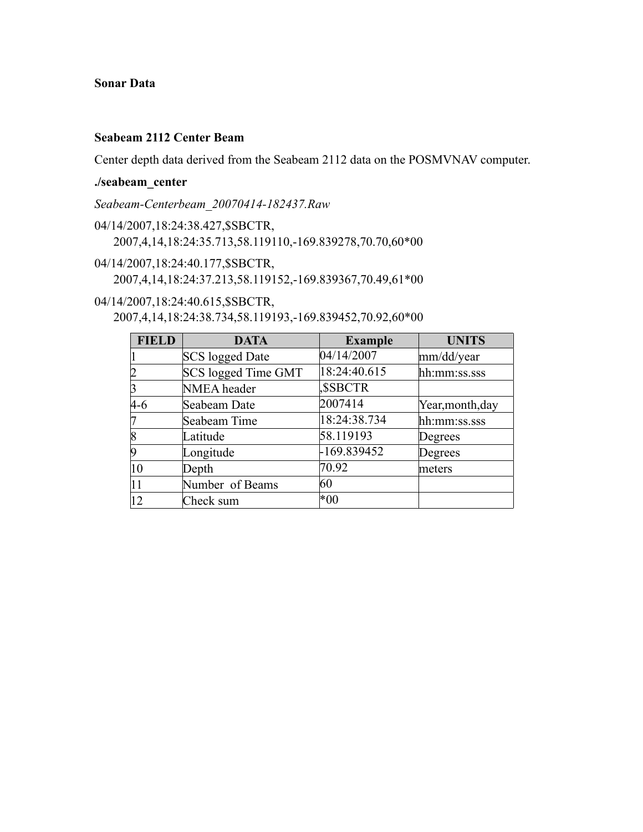### **Sonar Data**

#### **Seabeam 2112 Center Beam**

Center depth data derived from the Seabeam 2112 data on the POSMVNAV computer.

#### **./seabeam\_center**

*Seabeam-Centerbeam\_20070414-182437.Raw*

- 04/14/2007,18:24:38.427,\$SBCTR, 2007,4,14,18:24:35.713,58.119110,-169.839278,70.70,60\*00
- 04/14/2007,18:24:40.177,\$SBCTR, 2007,4,14,18:24:37.213,58.119152,-169.839367,70.49,61\*00

04/14/2007,18:24:40.615,\$SBCTR,

2007,4,14,18:24:38.734,58.119193,-169.839452,70.92,60\*00

| <b>FIELD</b> | <b>DATA</b>                | <b>Example</b> | <b>UNITS</b>     |
|--------------|----------------------------|----------------|------------------|
|              | <b>SCS</b> logged Date     | 04/14/2007     | mm/dd/year       |
| 12           | <b>SCS logged Time GMT</b> | 18:24:40.615   | hh:mm:ss.sss     |
|              | NMEA header                | <b>SSBCTR</b>  |                  |
| $4-6$        | Seabeam Date               | 2007414        | Year, month, day |
|              | Seabeam Time               | 18:24:38.734   | hh:mm:ss.sss     |
| 8            | Latitude                   | 58.119193      | Degrees          |
| 19           | Longitude                  | -169.839452    | Degrees          |
| 10           | Depth                      | 70.92          | meters           |
|              | Number of Beams            | 60             |                  |
| 12           | Check sum                  | $*00$          |                  |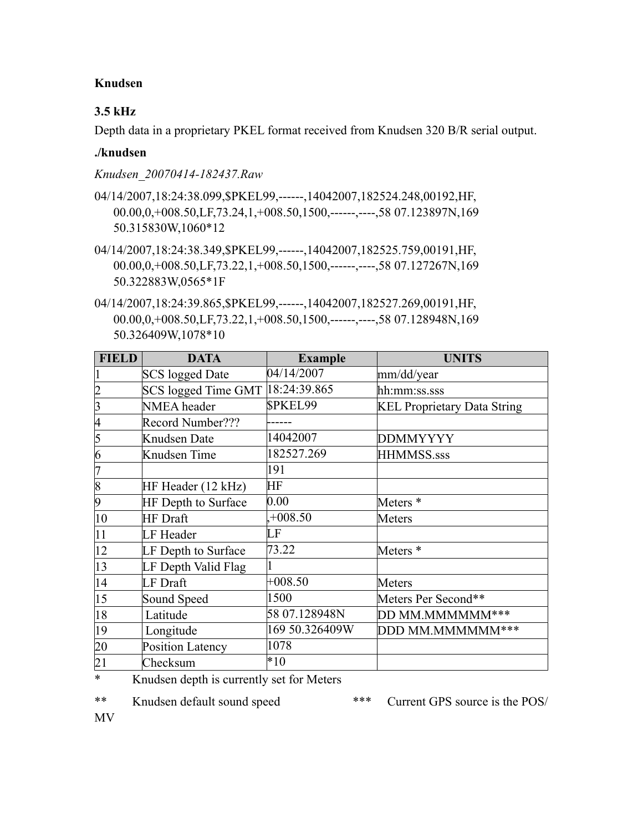#### **Knudsen**

# **3.5 kHz**

Depth data in a proprietary PKEL format received from Knudsen 320 B/R serial output.

### **./knudsen**

*Knudsen\_20070414-182437.Raw*

- 04/14/2007,18:24:38.099,\$PKEL99,------,14042007,182524.248,00192,HF, 00.00,0,+008.50,LF,73.24,1,+008.50,1500,------,----,58 07.123897N,169 50.315830W,1060\*12
- 04/14/2007,18:24:38.349,\$PKEL99,-----,14042007,182525.759,00191,HF, 00.00,0,+008.50,LF,73.22,1,+008.50,1500,------,----,58 07.127267N,169 50.322883W,0565\*1F
- 04/14/2007,18:24:39.865,\$PKEL99,-----,14042007,182527.269,00191,HF, 00.00,0,+008.50,LF,73.22,1,+008.50,1500,------,----,58 07.128948N,169 50.326409W,1078\*10

| <b>FIELD</b>    | <b>DATA</b>            | <b>Example</b> | <b>UNITS</b>                       |
|-----------------|------------------------|----------------|------------------------------------|
|                 | <b>SCS</b> logged Date | 04/14/2007     | mm/dd/year                         |
| $\overline{2}$  | SCS logged Time GMT    | 18:24:39.865   | hh:mm:ss.sss                       |
| 3               | NMEA header            | <b>SPKEL99</b> | <b>KEL Proprietary Data String</b> |
| 4               | Record Number???       |                |                                    |
| $\overline{5}$  | Knudsen Date           | 14042007       | <b>DDMMYYYY</b>                    |
| 6               | Knudsen Time           | 182527.269     | HHMMSS.sss                         |
| 7               |                        | 191            |                                    |
| $\sqrt{8}$      | HF Header (12 kHz)     | HF             |                                    |
| $\vert 9$       | HF Depth to Surface    | 0.00           | Meters <sup>*</sup>                |
| 10              | <b>HF</b> Draft        | $,+008.50$     | Meters                             |
| 11              | LF Header              | LF             |                                    |
| $ 12\rangle$    | LF Depth to Surface    | 73.22          | Meters <sup>*</sup>                |
| 13              | LF Depth Valid Flag    |                |                                    |
| 14              | LF Draft               | $+008.50$      | Meters                             |
| $ 15\rangle$    | Sound Speed            | 1500           | Meters Per Second**                |
| 18              | Latitude               | 58 07.128948N  | DD MM.MMMMMM***                    |
| 19              | Longitude              | 169 50.326409W | DDD MM.MMMMMM***                   |
| 20              | Position Latency       | 1078           |                                    |
| $\overline{21}$ | Checksum               | $*10$          |                                    |

\* Knudsen depth is currently set for Meters

\*\* Knudsen default sound speed \*\*\* Current GPS source is the POS/

MV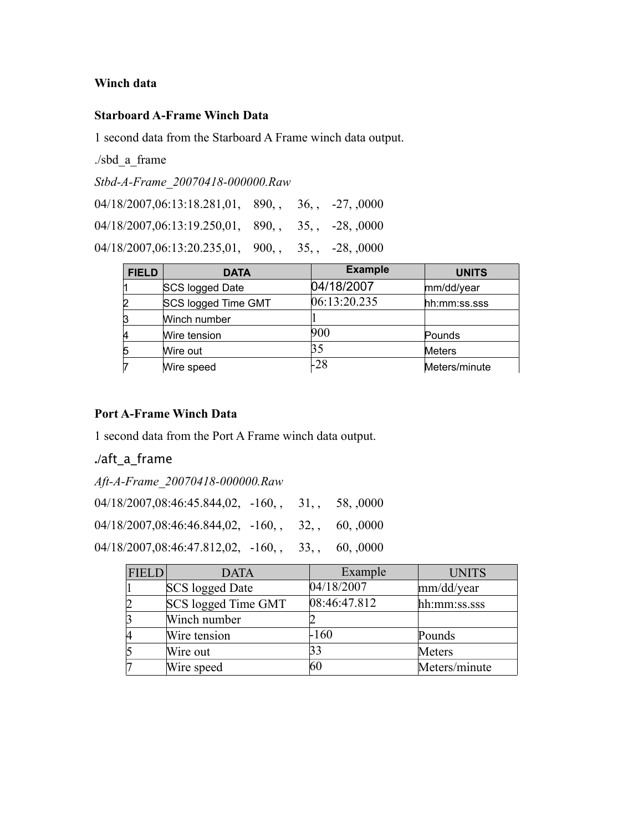#### **Winch data**

#### **Starboard A-Frame Winch Data**

1 second data from the Starboard A Frame winch data output.

./sbd\_a\_frame

*Stbd-A-Frame\_20070418-000000.Raw*

| $04/18/2007,06:13:18.281,01$ , 890, 36, -27, 0000            |  |  |
|--------------------------------------------------------------|--|--|
| $04/18/2007,06:13:19.250,01$ , 890, 35, -28, 0000            |  |  |
| $04/18/2007,06:13:20.235,01$ , $900$ , $35$ , $-28$ , $0000$ |  |  |

| <b>FIELD</b> | <b>DATA</b>         | <b>Example</b> | <b>UNITS</b>  |
|--------------|---------------------|----------------|---------------|
|              | SCS logged Date     | 04/18/2007     | mm/dd/year    |
|              | SCS logged Time GMT | 06:13:20.235   | hh:mm:ss.sss  |
|              | Winch number        |                |               |
|              | Wire tension        | 900            | Pounds        |
|              | Wire out            | 35             | Meters        |
|              | Wire speed          | -28            | Meters/minute |

### **Port A-Frame Winch Data**

1 second data from the Port A Frame winch data output.

# **./**aft\_a\_frame

| Aft-A-Frame 20070418-000000.Raw |
|---------------------------------|
|                                 |

| $04/18/2007,08:46:45.844,02, -160,$ , 31, 58, 0000 |  |  |
|----------------------------------------------------|--|--|
| $04/18/2007,08:46:46.844,02, -160,$ , 32, 60, 0000 |  |  |
| $04/18/2007,08:46:47.812,02, -160,$ , 33, 60, 0000 |  |  |

| <b>FIELD</b> | <b>DATA</b>            | Example      | <b>UNITS</b>  |
|--------------|------------------------|--------------|---------------|
|              | <b>SCS</b> logged Date | 04/18/2007   | mm/dd/year    |
|              | SCS logged Time GMT    | 08:46:47.812 | hh:mm:ss.sss  |
|              | Winch number           |              |               |
|              | Wire tension           | -160         | Pounds        |
|              | Wire out               | 33           | Meters        |
|              | Wire speed             | 60           | Meters/minute |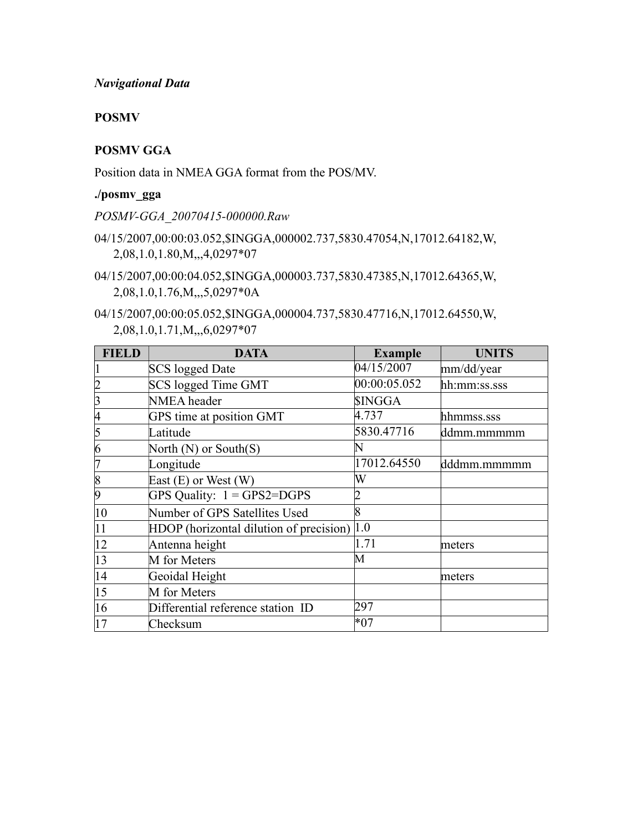#### *Navigational Data*

#### **POSMV**

#### **POSMV GGA**

Position data in NMEA GGA format from the POS/MV.

#### **./posmv\_gga**

*POSMV-GGA\_20070415-000000.Raw*

- 04/15/2007,00:00:03.052,\$INGGA,000002.737,5830.47054,N,17012.64182,W, 2,08,1.0,1.80,M,,,4,0297\*07
- 04/15/2007,00:00:04.052,\$INGGA,000003.737,5830.47385,N,17012.64365,W, 2,08,1.0,1.76,M,,,5,0297\*0A
- 04/15/2007,00:00:05.052,\$INGGA,000004.737,5830.47716,N,17012.64550,W, 2,08,1.0,1.71,M,,,6,0297\*07

| FIELD          | <b>DATA</b>                             | <b>Example</b> | <b>UNITS</b> |
|----------------|-----------------------------------------|----------------|--------------|
|                | <b>SCS</b> logged Date                  | 04/15/2007     | mm/dd/year   |
|                | SCS logged Time GMT                     | 00:00:05.052   | hh:mm:ss.sss |
| 3              | NMEA header                             | <b>SINGGA</b>  |              |
| 4              | GPS time at position GMT                | 4.737          | hhmmss.sss   |
| 5              | Latitude                                | 5830.47716     | ddmm.mmmmm   |
| $\overline{6}$ | North $(N)$ or South $(S)$              |                |              |
| 7              | Longitude                               | 17012.64550    | dddmm.mmmmm  |
| $\vert 8$      | East $(E)$ or West $(W)$                | W              |              |
| 19             | GPS Quality: $1 = GPS2 = DGPS$          |                |              |
| 10             | Number of GPS Satellites Used           | 8              |              |
| 11             | HDOP (horizontal dilution of precision) | 1.0            |              |
| 12             | Antenna height                          | 1.71           | meters       |
| 13             | M for Meters                            | М              |              |
| 14             | Geoidal Height                          |                | meters       |
| 15             | M for Meters                            |                |              |
| 16             | Differential reference station ID       | 297            |              |
| 17             | Checksum                                | $*07$          |              |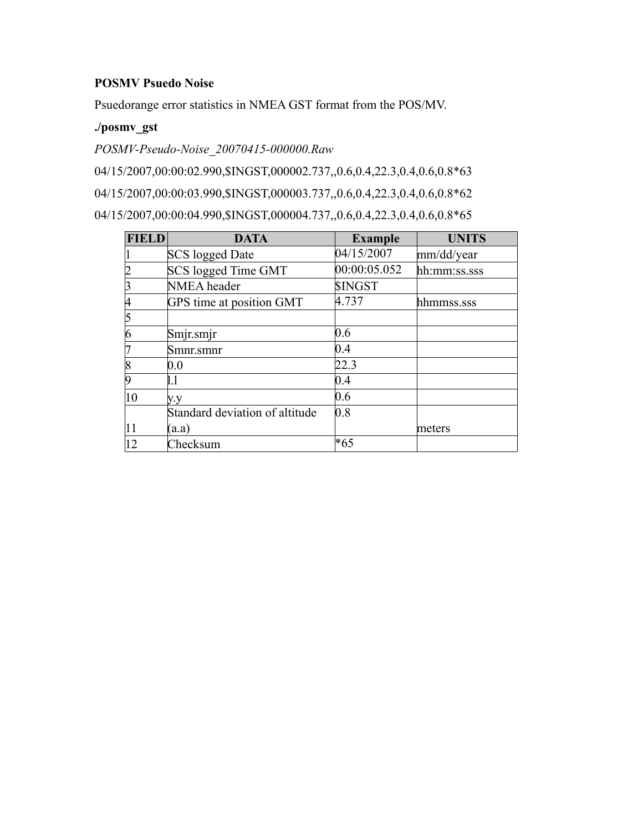#### **POSMV Psuedo Noise**

Psuedorange error statistics in NMEA GST format from the POS/MV.

# **./posmv\_gst**

*POSMV-Pseudo-Noise\_20070415-000000.Raw*

04/15/2007,00:00:02.990,\$INGST,000002.737,,0.6,0.4,22.3,0.4,0.6,0.8\*63

04/15/2007,00:00:03.990,\$INGST,000003.737,,0.6,0.4,22.3,0.4,0.6,0.8\*62

04/15/2007,00:00:04.990,\$INGST,000004.737,,0.6,0.4,22.3,0.4,0.6,0.8\*65

| <b>FIELD</b> | <b>DATA</b>                    | <b>Example</b> | <b>UNITS</b> |
|--------------|--------------------------------|----------------|--------------|
|              | SCS logged Date                | 04/15/2007     | mm/dd/year   |
|              | SCS logged Time GMT            | 00:00:05.052   | hh:mm:ss.sss |
|              | NMEA header                    | <b>SINGST</b>  |              |
|              | GPS time at position GMT       | 4.737          | hhmmss.sss   |
|              |                                |                |              |
| n            | Smjr.smjr                      | 0.6            |              |
|              | Smnr.smnr                      | 0.4            |              |
| 8            | $0.0\,$                        | 22.3           |              |
|              | 1.1                            | 0.4            |              |
| 10           | y.y                            | 0.6            |              |
|              | Standard deviation of altitude | 0.8            |              |
| 11           | (a.a)                          |                | meters       |
| 12           | Checksum                       | *65            |              |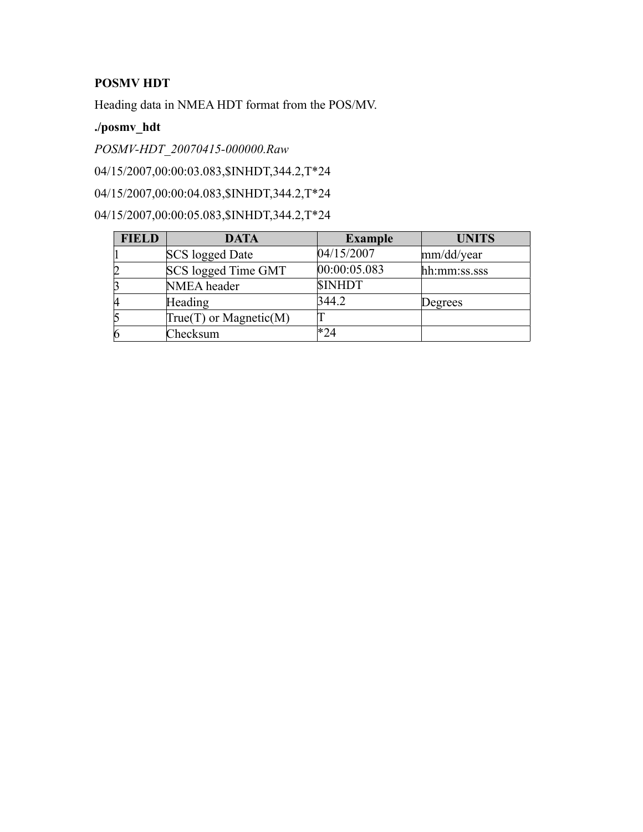# **POSMV HDT**

Heading data in NMEA HDT format from the POS/MV.

# **./posmv\_hdt**

*POSMV-HDT\_20070415-000000.Raw*

04/15/2007,00:00:03.083,\$INHDT,344.2,T\*24

04/15/2007,00:00:04.083,\$INHDT,344.2,T\*24

04/15/2007,00:00:05.083,\$INHDT,344.2,T\*24

| <b>FIELD</b>   | <b>DATA</b>              | <b>Example</b> | <b>UNITS</b> |
|----------------|--------------------------|----------------|--------------|
|                | SCS logged Date          | 04/15/2007     | mm/dd/year   |
|                | SCS logged Time GMT      | 00:00:05.083   | hh:mm:ss.sss |
|                | NMEA header              | <b>SINHDT</b>  |              |
| И              | <b>Heading</b>           | 344.2          | Degrees      |
|                | $True(T)$ or Magnetic(M) |                |              |
| $\overline{6}$ | Checksum                 | *24            |              |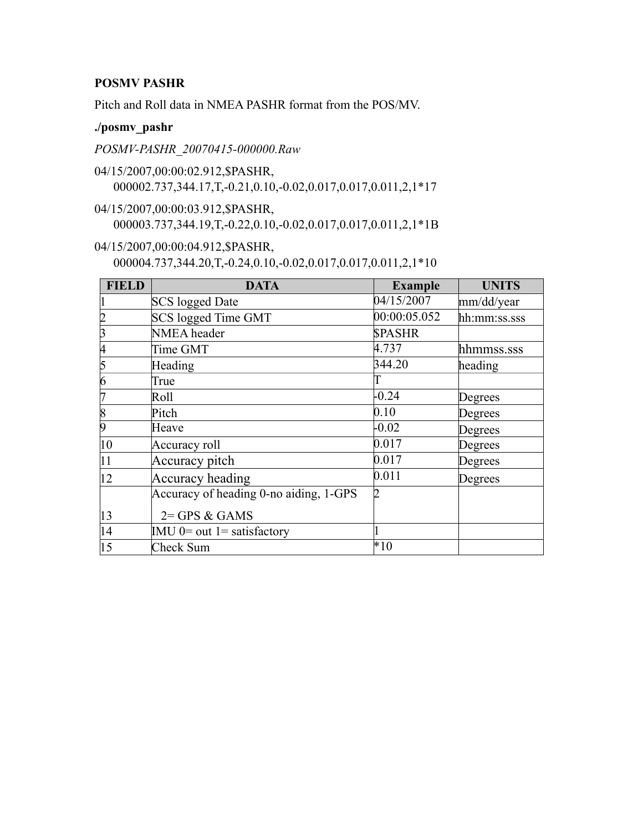### **POSMV PASHR**

Pitch and Roll data in NMEA PASHR format from the POS/MV.

#### **./posmv\_pashr**

*POSMV-PASHR\_20070415-000000.Raw*

- 04/15/2007,00:00:02.912,\$PASHR, 000002.737,344.17,T,-0.21,0.10,-0.02,0.017,0.017,0.011,2,1\*17
- 04/15/2007,00:00:03.912,\$PASHR, 000003.737,344.19,T,-0.22,0.10,-0.02,0.017,0.017,0.011,2,1\*1B
- 04/15/2007,00:00:04.912,\$PASHR, 000004.737,344.20,T,-0.24,0.10,-0.02,0.017,0.017,0.011,2,1\*10

| <b>FIELD</b>   | <b>DATA</b>                            | <b>Example</b> | <b>UNITS</b> |
|----------------|----------------------------------------|----------------|--------------|
|                | <b>SCS</b> logged Date                 | 04/15/2007     | mm/dd/year   |
|                | SCS logged Time GMT                    | 00:00:05.052   | hh:mm:ss.sss |
|                | NMEA header                            | <b>SPASHR</b>  |              |
|                | Time GMT                               | 4.737          | hhmmss.sss   |
|                | Heading                                | 344.20         | heading      |
| 6              | True                                   |                |              |
|                | Roll                                   | $-0.24$        | Degrees      |
| $\overline{8}$ | Pitch                                  | 0.10           | Degrees      |
|                | Heave                                  | $-0.02$        | Degrees      |
| 10             | Accuracy roll                          | 0.017          | Degrees      |
| 11             | Accuracy pitch                         | 0.017          | Degrees      |
| 12             | Accuracy heading                       | 0.011          | Degrees      |
|                | Accuracy of heading 0-no aiding, 1-GPS | ID.            |              |
| 13             | $2 = GPS & GAMS$                       |                |              |
| 14             | $IMU$ 0= out 1= satisfactory           |                |              |
| 15             | Check Sum                              | $*10$          |              |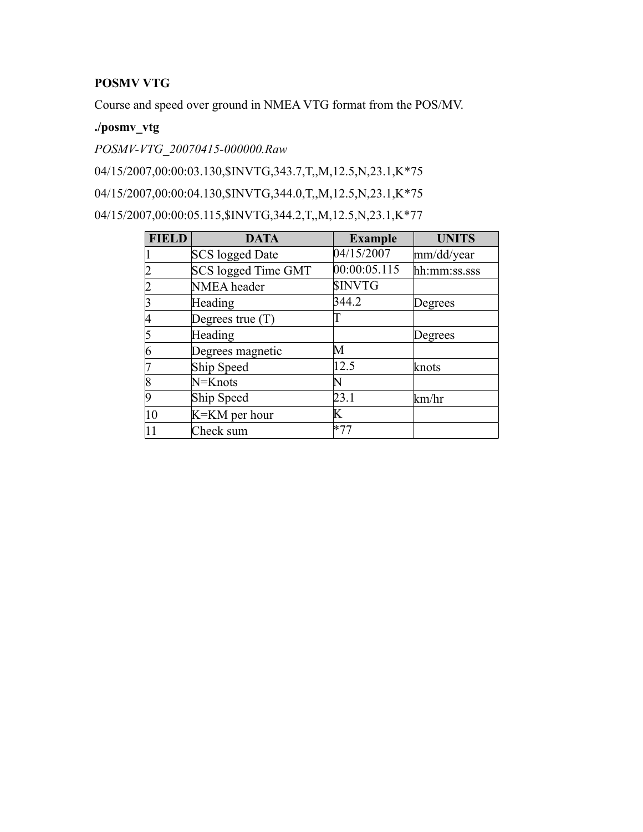# **POSMV VTG**

Course and speed over ground in NMEA VTG format from the POS/MV.

# **./posmv\_vtg**

*POSMV-VTG\_20070415-000000.Raw*

04/15/2007,00:00:03.130,\$INVTG,343.7,T,,M,12.5,N,23.1,K\*75

04/15/2007,00:00:04.130,\$INVTG,344.0,T,,M,12.5,N,23.1,K\*75

04/15/2007,00:00:05.115,\$INVTG,344.2,T,,M,12.5,N,23.1,K\*77

| <b>FIELD</b>   | <b>DATA</b>            | <b>Example</b> | <b>UNITS</b> |
|----------------|------------------------|----------------|--------------|
|                | <b>SCS</b> logged Date | 04/15/2007     | mm/dd/year   |
|                | SCS logged Time GMT    | 00:00:05.115   | hh:mm:ss.sss |
|                | NMEA header            | <b>\$INVTG</b> |              |
|                | Heading                | 344.2          | Degrees      |
|                | Degrees true $(T)$     |                |              |
|                | Heading                |                | Degrees      |
| 6              | Degrees magnetic       | М              |              |
|                | Ship Speed             | 12.5           | knots        |
| $\overline{8}$ | N=Knots                | N              |              |
| Iq             | Ship Speed             | 23.1           | km/hr        |
| 10             | K=KM per hour          | Κ              |              |
|                | Check sum              | $*77$          |              |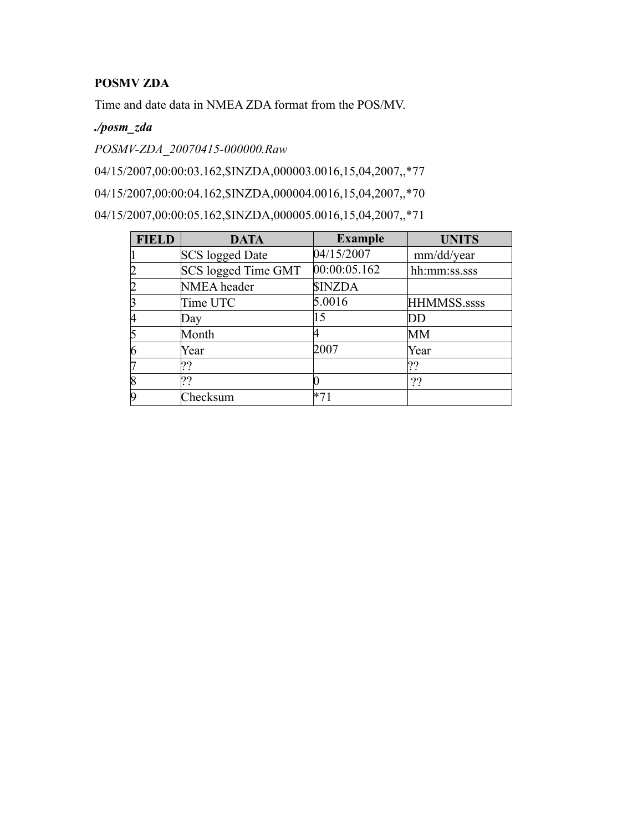# **POSMV ZDA**

Time and date data in NMEA ZDA format from the POS/MV.

## *./posm\_zda*

*POSMV-ZDA\_20070415-000000.Raw*

04/15/2007,00:00:03.162,\$INZDA,000003.0016,15,04,2007,,\*77

04/15/2007,00:00:04.162,\$INZDA,000004.0016,15,04,2007,,\*70

04/15/2007,00:00:05.162,\$INZDA,000005.0016,15,04,2007,,\*71

| <b>FIELD</b>   | <b>DATA</b>            | <b>Example</b> | <b>UNITS</b> |
|----------------|------------------------|----------------|--------------|
|                | <b>SCS</b> logged Date | 04/15/2007     | mm/dd/year   |
| 2              | SCS logged Time GMT    | 00:00:05.162   | hh:mm:ss.sss |
| 2              | NMEA header            | <b>SINZDA</b>  |              |
| 3              | Time UTC               | 5.0016         | HHMMSS.ssss  |
| 14             | Day                    | 15             | DD           |
| 5              | Month                  |                | MМ           |
| 6              | Year                   | 2007           | Year         |
|                | ??                     |                | ??           |
| $\overline{8}$ | ??                     |                | ??           |
| Ig             | Checksum               |                |              |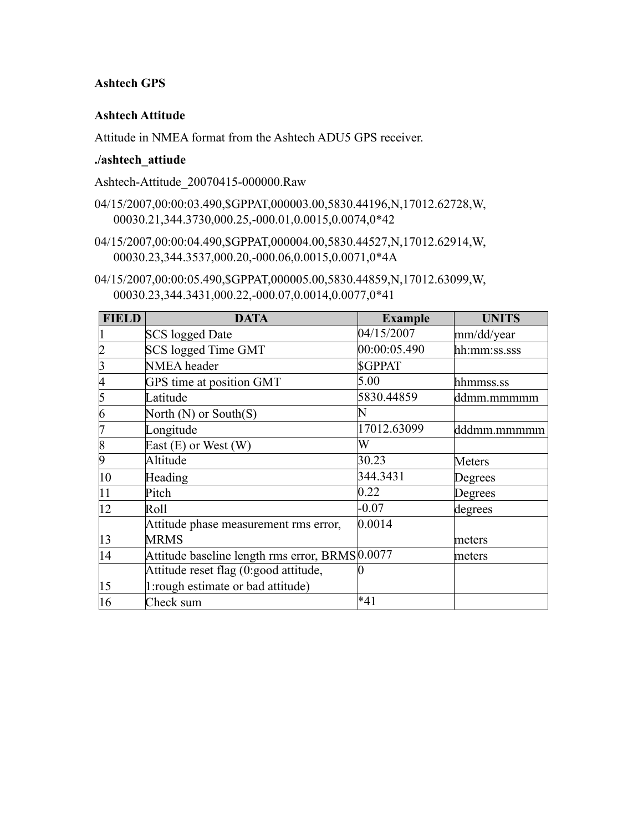#### **Ashtech GPS**

#### **Ashtech Attitude**

Attitude in NMEA format from the Ashtech ADU5 GPS receiver.

#### **./ashtech\_attiude**

Ashtech-Attitude\_20070415-000000.Raw

- 04/15/2007,00:00:03.490,\$GPPAT,000003.00,5830.44196,N,17012.62728,W, 00030.21,344.3730,000.25,-000.01,0.0015,0.0074,0\*42
- 04/15/2007,00:00:04.490,\$GPPAT,000004.00,5830.44527,N,17012.62914,W, 00030.23,344.3537,000.20,-000.06,0.0015,0.0071,0\*4A
- 04/15/2007,00:00:05.490,\$GPPAT,000005.00,5830.44859,N,17012.63099,W, 00030.23,344.3431,000.22,-000.07,0.0014,0.0077,0\*41

| <b>FIELD</b>   | <b>DATA</b>                                     | <b>Example</b> | <b>UNITS</b> |
|----------------|-------------------------------------------------|----------------|--------------|
|                | <b>SCS</b> logged Date                          | 04/15/2007     | mm/dd/year   |
|                | SCS logged Time GMT                             | 00:00:05.490   | hh:mm:ss.sss |
| 3              | NMEA header                                     | <b>SGPPAT</b>  |              |
| 14             | GPS time at position GMT                        | 5.00           | hhmmss.ss    |
| 5              | Latitude                                        | 5830.44859     | ddmm.mmmmm   |
| 6              | North $(N)$ or South $(S)$                      | IN             |              |
|                | Longitude                                       | 17012.63099    | dddmm.mmmmm  |
| $\overline{8}$ | East $(E)$ or West $(W)$                        | W              |              |
| 9              | Altitude                                        | 30.23          | Meters       |
| $ 10\rangle$   | Heading                                         | 344.3431       | Degrees      |
| 11             | Pitch                                           | 0.22           | Degrees      |
| $ 12\rangle$   | Roll                                            | $-0.07$        | degrees      |
|                | Attitude phase measurement rms error,           | 0.0014         |              |
| $ 13\rangle$   | <b>MRMS</b>                                     |                | meters       |
| 14             | Attitude baseline length rms error, BRMS 0.0077 |                | meters       |
|                | Attitude reset flag (0:good attitude,           |                |              |
| $ 15\rangle$   | 1: rough estimate or bad attitude)              |                |              |
| 16             | Check sum                                       | $*41$          |              |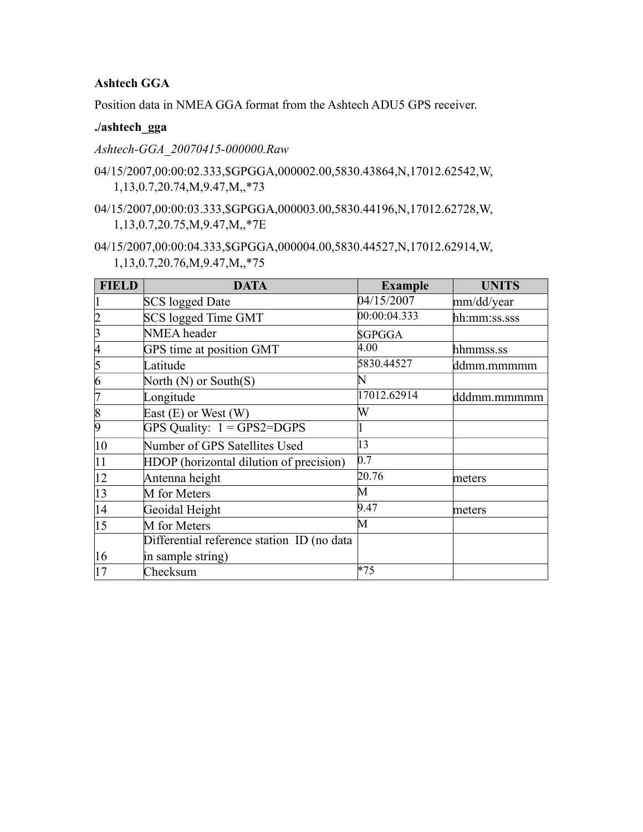# **Ashtech GGA**

Position data in NMEA GGA format from the Ashtech ADU5 GPS receiver.

#### **./ashtech\_gga**

*Ashtech-GGA\_20070415-000000.Raw*

- 04/15/2007,00:00:02.333,\$GPGGA,000002.00,5830.43864,N,17012.62542,W, 1,13,0.7,20.74,M,9.47,M,,\*73
- 04/15/2007,00:00:03.333,\$GPGGA,000003.00,5830.44196,N,17012.62728,W, 1,13,0.7,20.75,M,9.47,M,,\*7E
- 04/15/2007,00:00:04.333,\$GPGGA,000004.00,5830.44527,N,17012.62914,W, 1,13,0.7,20.76,M,9.47,M,,\*75

| <b>FIELD</b>    | <b>DATA</b>                                | <b>Example</b> | <b>UNITS</b> |
|-----------------|--------------------------------------------|----------------|--------------|
|                 | <b>SCS</b> logged Date                     | 04/15/2007     | mm/dd/year   |
| $\vert$ 2       | SCS logged Time GMT                        | 00:00:04.333   | hh:mm:ss.sss |
| 3               | NMEA header                                | <b>SGPGGA</b>  |              |
| 4               | GPS time at position GMT                   | 4.00           | hhmmss.ss    |
| 5               | Latitude                                   | 5830.44527     | ddmm.mmmmm   |
| $\vert 6 \vert$ | North $(N)$ or South $(S)$                 | N              |              |
| 17              | Longitude                                  | 17012.62914    | dddmm.mmmmm  |
| $\overline{8}$  | East $(E)$ or West $(W)$                   | W              |              |
| $\vert 9$       | GPS Quality: $1 = GPS2 = DGPS$             |                |              |
| 10              | Number of GPS Satellites Used              | 13             |              |
| 11              | HDOP (horizontal dilution of precision)    | 0.7            |              |
| 12              | Antenna height                             | 20.76          | meters       |
| 13              | M for Meters                               | M              |              |
| 14              | Geoidal Height                             | 9.47           | meters       |
| 15              | M for Meters                               | M              |              |
|                 | Differential reference station ID (no data |                |              |
| 16              | in sample string)                          |                |              |
| 17              | Checksum                                   | $*75$          |              |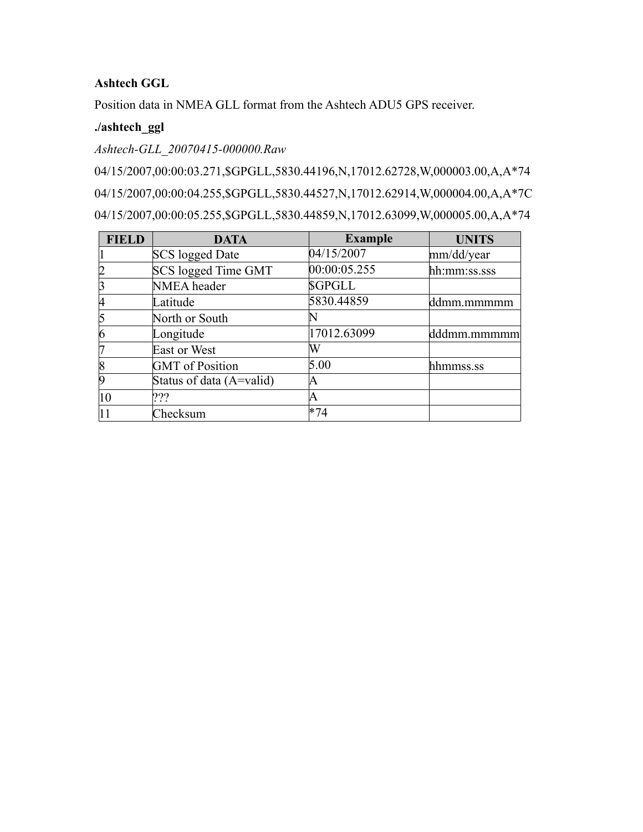### **Ashtech GGL**

Position data in NMEA GLL format from the Ashtech ADU5 GPS receiver.

## **./ashtech\_ggl**

### *Ashtech-GLL\_20070415-000000.Raw*

04/15/2007,00:00:03.271,\$GPGLL,5830.44196,N,17012.62728,W,000003.00,A,A\*74 04/15/2007,00:00:04.255,\$GPGLL,5830.44527,N,17012.62914,W,000004.00,A,A\*7C 04/15/2007,00:00:05.255,\$GPGLL,5830.44859,N,17012.63099,W,000005.00,A,A\*74

| <b>FIELD</b> | <b>DATA</b>              | <b>Example</b> | <b>UNITS</b> |
|--------------|--------------------------|----------------|--------------|
|              | SCS logged Date          | 04/15/2007     | mm/dd/year   |
|              | SCS logged Time GMT      | 00:00:05.255   | hh:mm:ss.sss |
|              | NMEA header              | <b>SGPGLL</b>  |              |
|              | Latitude                 | 5830.44859     | ddmm.mmmmm   |
|              | North or South           |                |              |
|              | Longitude                | 17012.63099    | dddmm.mmmmm  |
|              | <b>East or West</b>      | W              |              |
|              | <b>GMT</b> of Position   | 5.00           | hhmmss.ss    |
|              | Status of data (A=valid) | A              |              |
| 10           | ???                      | Α              |              |
|              | Checksum                 | $*74$          |              |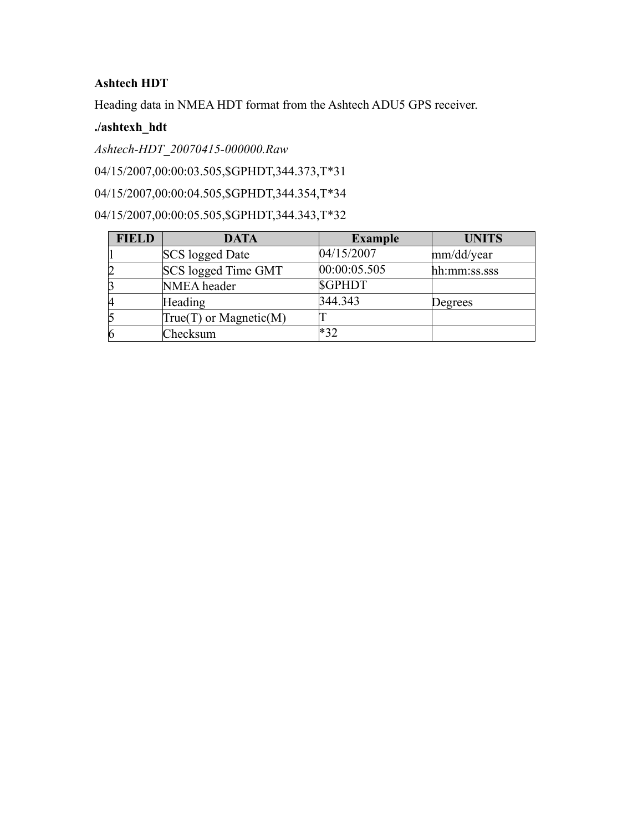# **Ashtech HDT**

Heading data in NMEA HDT format from the Ashtech ADU5 GPS receiver.

## **./ashtexh\_hdt**

*Ashtech-HDT\_20070415-000000.Raw*

04/15/2007,00:00:03.505,\$GPHDT,344.373,T\*31

04/15/2007,00:00:04.505,\$GPHDT,344.354,T\*34

04/15/2007,00:00:05.505,\$GPHDT,344.343,T\*32

| <b>FIELD</b> | <b>DATA</b>              | <b>Example</b> | <b>UNITS</b> |
|--------------|--------------------------|----------------|--------------|
|              | <b>SCS</b> logged Date   | 04/15/2007     | mm/dd/year   |
|              | SCS logged Time GMT      | 00:00:05.505   | hh:mm:ss.sss |
|              | NMEA header              | <b>SGPHDT</b>  |              |
| 14           | Heading                  | 344.343        | Degrees      |
|              | $True(T)$ or Magnetic(M) |                |              |
| 6            | Checksum                 | $*32$          |              |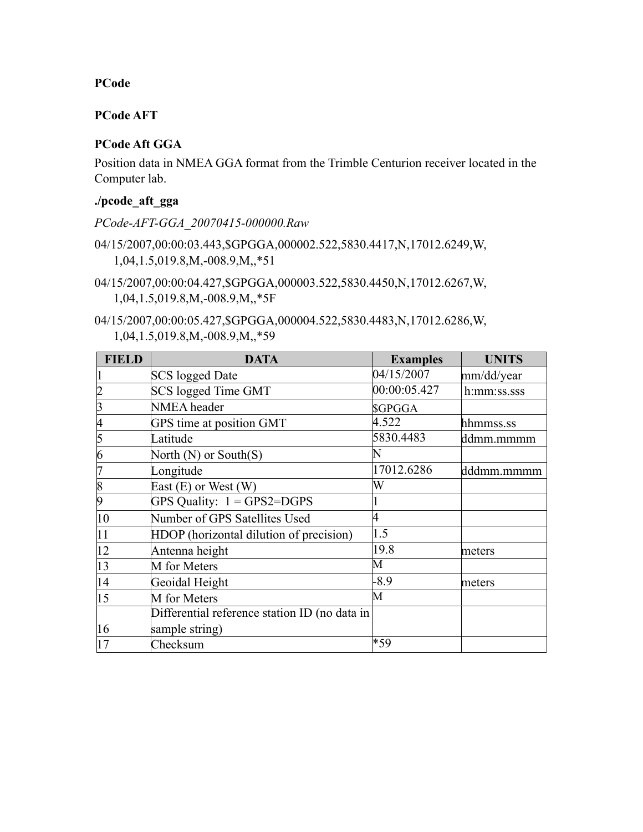#### **PCode**

### **PCode AFT**

### **PCode Aft GGA**

Position data in NMEA GGA format from the Trimble Centurion receiver located in the Computer lab.

#### **./pcode\_aft\_gga**

*PCode-AFT-GGA\_20070415-000000.Raw*

- 04/15/2007,00:00:03.443,\$GPGGA,000002.522,5830.4417,N,17012.6249,W, 1,04,1.5,019.8,M,-008.9,M,,\*51
- 04/15/2007,00:00:04.427,\$GPGGA,000003.522,5830.4450,N,17012.6267,W, 1,04,1.5,019.8,M,-008.9,M,,\*5F
- 04/15/2007,00:00:05.427,\$GPGGA,000004.522,5830.4483,N,17012.6286,W, 1,04,1.5,019.8,M,-008.9,M,,\*59

| <b>FIELD</b>   | <b>DATA</b>                                   | <b>Examples</b> | <b>UNITS</b> |
|----------------|-----------------------------------------------|-----------------|--------------|
|                | <b>SCS</b> logged Date                        | 04/15/2007      | mm/dd/year   |
| $\overline{2}$ | SCS logged Time GMT                           | 00:00:05.427    | h:mm:ss.sss  |
| 3              | NMEA header                                   | <b>SGPGGA</b>   |              |
| 4              | GPS time at position GMT                      | 4.522           | hhmmss.ss    |
| 5              | Latitude                                      | 5830.4483       | ddmm.mmmm    |
| 6              | North $(N)$ or South $(S)$                    | $\mathbb N$     |              |
|                | Longitude                                     | 17012.6286      | dddmm.mmmm   |
| 8              | East $(E)$ or West $(W)$                      | W               |              |
| 9              | GPS Quality: $1 = GPS2 = DGPS$                |                 |              |
| 10             | Number of GPS Satellites Used                 | 4               |              |
| 11             | HDOP (horizontal dilution of precision)       | 1.5             |              |
| $ 12\rangle$   | Antenna height                                | 19.8            | meters       |
| 13             | M for Meters                                  | M               |              |
| 14             | Geoidal Height                                | $-8.9$          | meters       |
| 15             | M for Meters                                  | M               |              |
|                | Differential reference station ID (no data in |                 |              |
| 16             | sample string)                                |                 |              |
| 17             | Checksum                                      | *59             |              |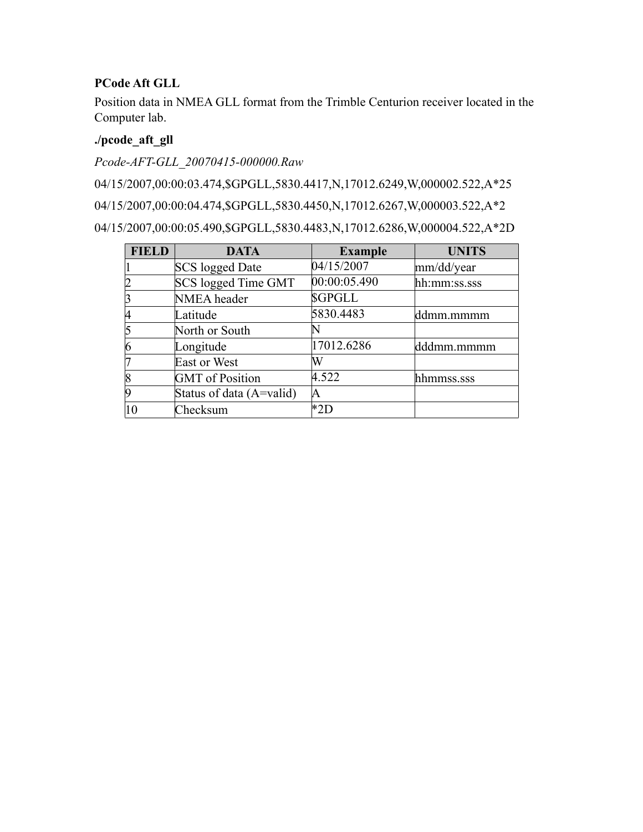### **PCode Aft GLL**

Position data in NMEA GLL format from the Trimble Centurion receiver located in the Computer lab.

# **./pcode\_aft\_gll**

*Pcode-AFT-GLL\_20070415-000000.Raw*

04/15/2007,00:00:03.474,\$GPGLL,5830.4417,N,17012.6249,W,000002.522,A\*25 04/15/2007,00:00:04.474,\$GPGLL,5830.4450,N,17012.6267,W,000003.522,A\*2 04/15/2007,00:00:05.490,\$GPGLL,5830.4483,N,17012.6286,W,000004.522,A\*2D

| <b>FIELD</b>   | <b>DATA</b>              | <b>Example</b> | <b>UNITS</b> |
|----------------|--------------------------|----------------|--------------|
|                | <b>SCS</b> logged Date   | 04/15/2007     | mm/dd/year   |
| $\overline{2}$ | SCS logged Time GMT      | 00:00:05.490   | hh:mm:ss.sss |
| 3              | NMEA header              | <b>SGPGLL</b>  |              |
| 4              | Latitude                 | 5830.4483      | ddmm.mmmm    |
| 5              | North or South           |                |              |
| 6              | Longitude                | 17012.6286     | dddmm.mmmm   |
| 17             | East or West             | W              |              |
| 8              | <b>GMT</b> of Position   | 4.522          | hhmmss.sss   |
| 9              | Status of data (A=valid) | A              |              |
| 10             | Checksum                 | *2D            |              |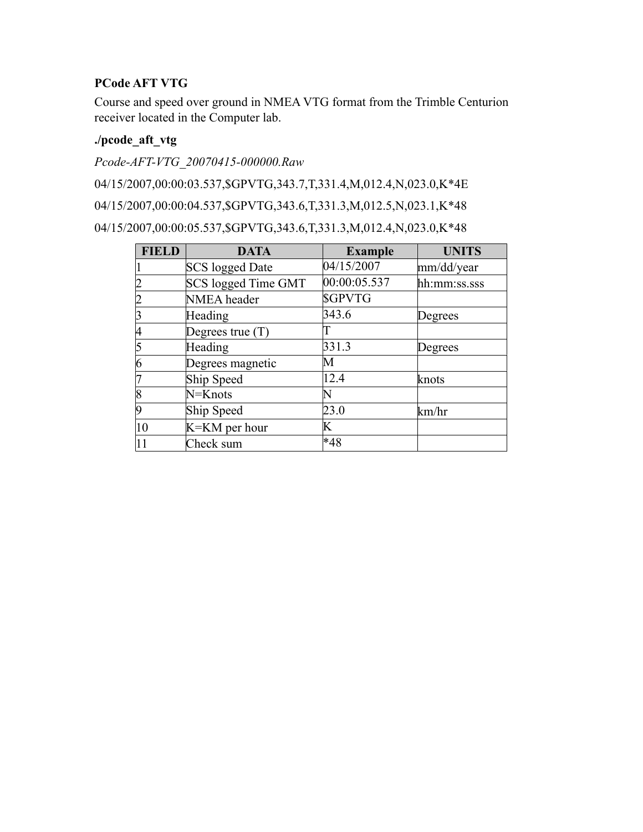### **PCode AFT VTG**

Course and speed over ground in NMEA VTG format from the Trimble Centurion receiver located in the Computer lab.

# **./pcode\_aft\_vtg**

*Pcode-AFT-VTG\_20070415-000000.Raw*

04/15/2007,00:00:03.537,\$GPVTG,343.7,T,331.4,M,012.4,N,023.0,K\*4E

04/15/2007,00:00:04.537,\$GPVTG,343.6,T,331.3,M,012.5,N,023.1,K\*48

04/15/2007,00:00:05.537,\$GPVTG,343.6,T,331.3,M,012.4,N,023.0,K\*48

| <b>FIELD</b>   | <b>DATA</b>            | <b>Example</b> | <b>UNITS</b> |
|----------------|------------------------|----------------|--------------|
|                | <b>SCS</b> logged Date | 04/15/2007     | mm/dd/year   |
| 2              | SCS logged Time GMT    | 00:00:05.537   | hh:mm:ss.sss |
| 2              | NMEA header            | <b>SGPVTG</b>  |              |
| 3              | Heading                | 343.6          | Degrees      |
| 14             | Degrees true $(T)$     |                |              |
| 5              | Heading                | 331.3          | Degrees      |
| 6              | Degrees magnetic       | М              |              |
|                | Ship Speed             | 12.4           | knots        |
| $\overline{8}$ | N=Knots                |                |              |
| 9              | Ship Speed             | 23.0           | km/hr        |
| 10             | K=KM per hour          | K              |              |
|                | Check sum              | *48            |              |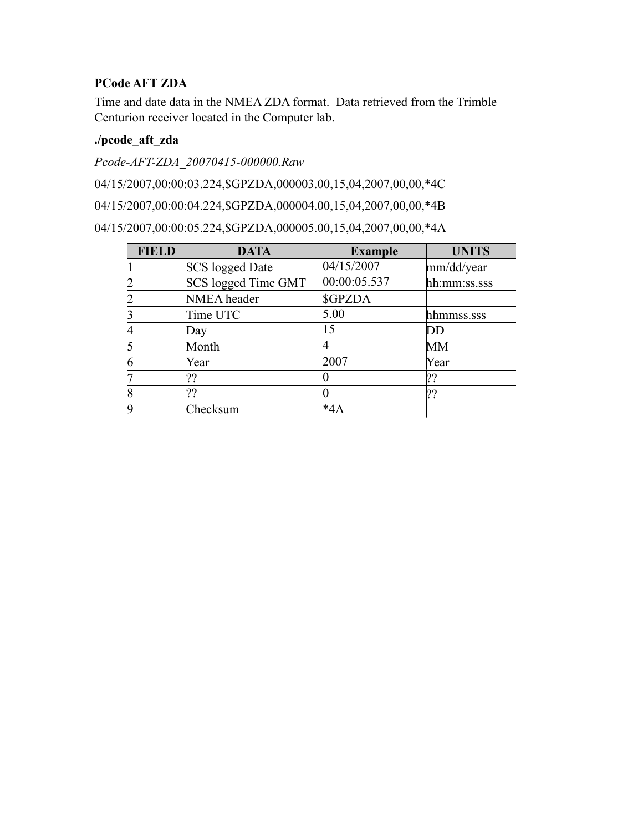# **PCode AFT ZDA**

Time and date data in the NMEA ZDA format. Data retrieved from the Trimble Centurion receiver located in the Computer lab.

# **./pcode\_aft\_zda**

*Pcode-AFT-ZDA\_20070415-000000.Raw*

04/15/2007,00:00:03.224,\$GPZDA,000003.00,15,04,2007,00,00,\*4C

04/15/2007,00:00:04.224,\$GPZDA,000004.00,15,04,2007,00,00,\*4B

04/15/2007,00:00:05.224,\$GPZDA,000005.00,15,04,2007,00,00,\*4A

| <b>FIELD</b>   | <b>DATA</b>            | <b>Example</b> | <b>UNITS</b> |
|----------------|------------------------|----------------|--------------|
|                | <b>SCS</b> logged Date | 04/15/2007     | mm/dd/year   |
| $\overline{2}$ | SCS logged Time GMT    | 00:00:05.537   | hh:mm:ss.sss |
| $\overline{2}$ | NMEA header            | <b>SGPZDA</b>  |              |
| 3              | Time UTC               | 5.00           | hhmmss.sss   |
| 4              | Day                    | 15             | DD           |
| 5              | Month                  |                | <b>MM</b>    |
| 6              | Year                   | 2007           | Year         |
| 17             | ??                     |                | ??           |
| 8              | ??                     |                | ??           |
| 9              | Checksum               | *4A            |              |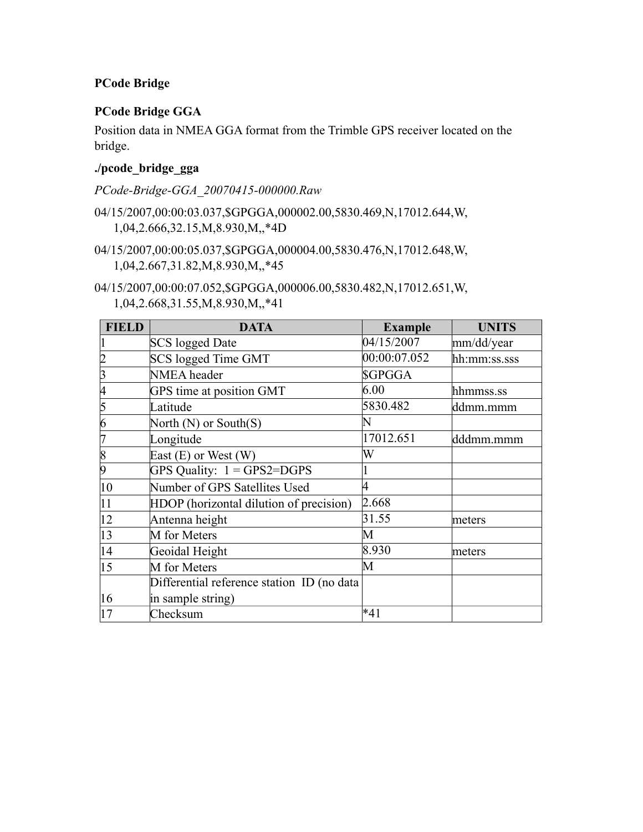### **PCode Bridge**

# **PCode Bridge GGA**

Position data in NMEA GGA format from the Trimble GPS receiver located on the bridge.

### **./pcode\_bridge\_gga**

*PCode-Bridge-GGA\_20070415-000000.Raw*

- 04/15/2007,00:00:03.037,\$GPGGA,000002.00,5830.469,N,17012.644,W, 1,04,2.666,32.15,M,8.930,M,,\*4D
- 04/15/2007,00:00:05.037,\$GPGGA,000004.00,5830.476,N,17012.648,W, 1,04,2.667,31.82,M,8.930,M,,\*45
- 04/15/2007,00:00:07.052,\$GPGGA,000006.00,5830.482,N,17012.651,W, 1,04,2.668,31.55,M,8.930,M,,\*41

| <b>FIELD</b>     | <b>DATA</b>                                | <b>Example</b> | <b>UNITS</b> |
|------------------|--------------------------------------------|----------------|--------------|
|                  | <b>SCS</b> logged Date                     | 04/15/2007     | mm/dd/year   |
|                  | <b>SCS</b> logged Time GMT                 | 00:00:07.052   | hh:mm:ss.sss |
|                  | NMEA header                                | \$GPGGA        |              |
|                  | GPS time at position GMT                   | 6.00           | hhmmss.ss    |
| 5                | Latitude                                   | 5830.482       | ddmm.mmm     |
| 6                | North (N) or South(S)                      | $\mathbb N$    |              |
|                  | Longitude                                  | 17012.651      | dddmm.mmm    |
| $\overline{8}$   | East $(E)$ or West $(W)$                   | W              |              |
| 9                | GPS Quality: $1 = GPS2 = DGPS$             |                |              |
| 10               | Number of GPS Satellites Used              | 4              |              |
| 11               | HDOP (horizontal dilution of precision)    | 2.668          |              |
| $ 12\rangle$     | Antenna height                             | 31.55          | meters       |
| 13               | M for Meters                               | М              |              |
| 14               | Geoidal Height                             | 8.930          | meters       |
| $\vert 15 \vert$ | M for Meters                               | M              |              |
|                  | Differential reference station ID (no data |                |              |
| 16               | in sample string)                          |                |              |
| 17               | Checksum                                   | *41            |              |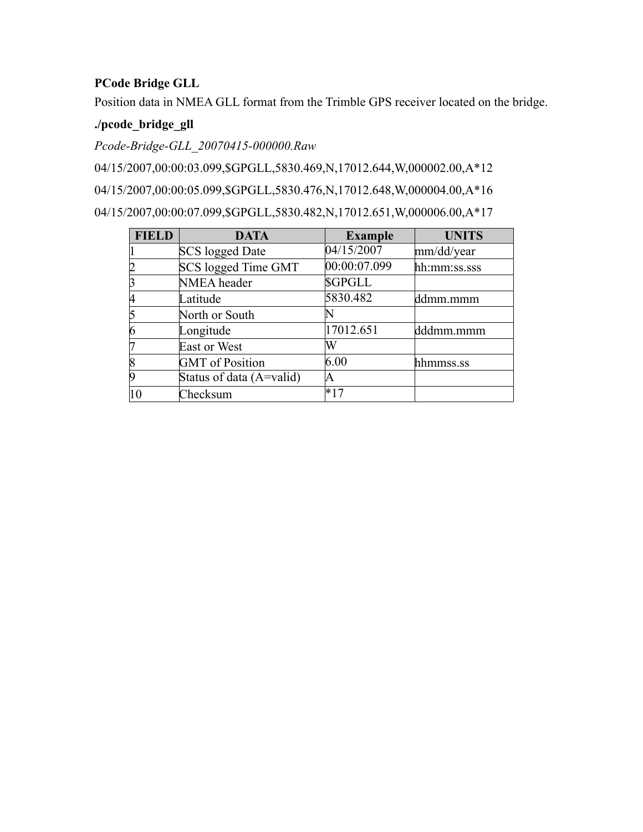# **PCode Bridge GLL**

Position data in NMEA GLL format from the Trimble GPS receiver located on the bridge.

# **./pcode\_bridge\_gll**

*Pcode-Bridge-GLL\_20070415-000000.Raw*

04/15/2007,00:00:03.099,\$GPGLL,5830.469,N,17012.644,W,000002.00,A\*12 04/15/2007,00:00:05.099,\$GPGLL,5830.476,N,17012.648,W,000004.00,A\*16 04/15/2007,00:00:07.099,\$GPGLL,5830.482,N,17012.651,W,000006.00,A\*17

| <b>FIELD</b> | <b>DATA</b>              | <b>Example</b> | <b>UNITS</b> |
|--------------|--------------------------|----------------|--------------|
|              | <b>SCS</b> logged Date   | 04/15/2007     | mm/dd/year   |
|              | SCS logged Time GMT      | 00:00:07.099   | hh:mm:ss.sss |
|              | NMEA header              | <b>SGPGLL</b>  |              |
| 14           | Latitude                 | 5830.482       | ddmm.mmm     |
|              | North or South           |                |              |
|              | Longitude                | 17012.651      | dddmm.mmm    |
|              | East or West             | W              |              |
|              | <b>GMT</b> of Position   | 6.00           | hhmmss.ss    |
|              | Status of data (A=valid) | ΙA             |              |
|              | Checksum                 |                |              |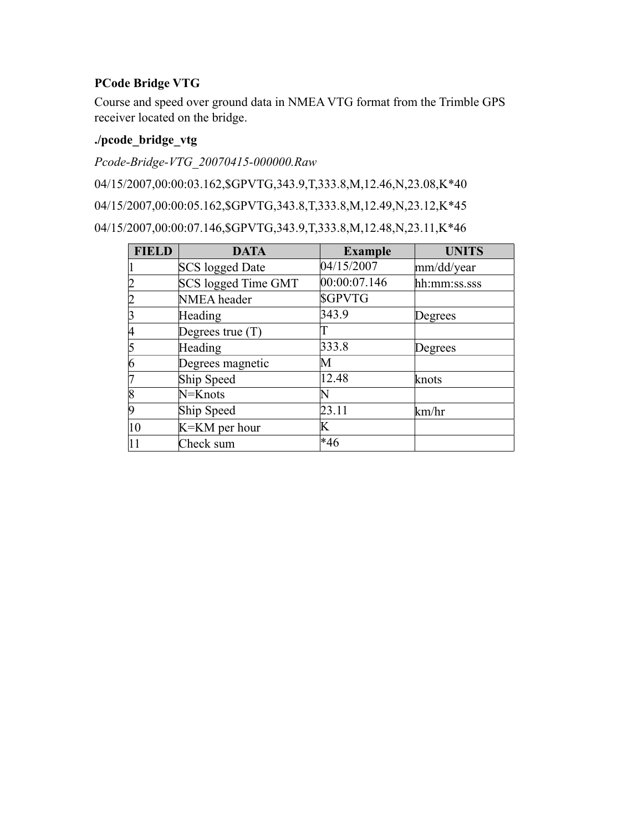# **PCode Bridge VTG**

Course and speed over ground data in NMEA VTG format from the Trimble GPS receiver located on the bridge.

# **./pcode\_bridge\_vtg**

*Pcode-Bridge-VTG\_20070415-000000.Raw*

04/15/2007,00:00:03.162,\$GPVTG,343.9,T,333.8,M,12.46,N,23.08,K\*40

04/15/2007,00:00:05.162,\$GPVTG,343.8,T,333.8,M,12.49,N,23.12,K\*45

04/15/2007,00:00:07.146,\$GPVTG,343.9,T,333.8,M,12.48,N,23.11,K\*46

| <b>FIELD</b>   | <b>DATA</b>            | <b>Example</b> | <b>UNITS</b> |
|----------------|------------------------|----------------|--------------|
|                | <b>SCS</b> logged Date | 04/15/2007     | mm/dd/year   |
| $ 2\rangle$    | SCS logged Time GMT    | 00:00:07.146   | hh:mm:ss.sss |
| $\overline{2}$ | NMEA header            | <b>SGPVTG</b>  |              |
| $\vert$ 3      | Heading                | 343.9          | Degrees      |
| 4              | Degrees true $(T)$     |                |              |
| 5              | Heading                | 333.8          | Degrees      |
| $\overline{6}$ | Degrees magnetic       | М              |              |
| 7              | Ship Speed             | 12.48          | knots        |
| $\overline{8}$ | N=Knots                |                |              |
| 9              | Ship Speed             | 23.11          | km/hr        |
| 10             | K=KM per hour          | K              |              |
| 11             | Check sum              | $*46$          |              |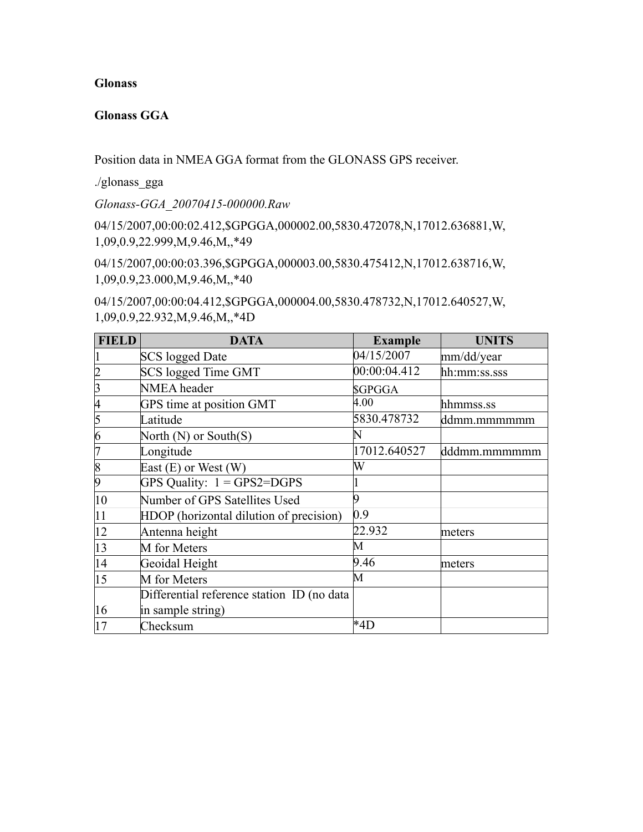#### **Glonass**

#### **Glonass GGA**

Position data in NMEA GGA format from the GLONASS GPS receiver.

./glonass\_gga

*Glonass-GGA\_20070415-000000.Raw*

04/15/2007,00:00:02.412,\$GPGGA,000002.00,5830.472078,N,17012.636881,W, 1,09,0.9,22.999,M,9.46,M,,\*49

04/15/2007,00:00:03.396,\$GPGGA,000003.00,5830.475412,N,17012.638716,W, 1,09,0.9,23.000,M,9.46,M,,\*40

04/15/2007,00:00:04.412,\$GPGGA,000004.00,5830.478732,N,17012.640527,W, 1,09,0.9,22.932,M,9.46,M,,\*4D

| <b>FIELD</b>   | <b>DATA</b>                                | <b>Example</b> | <b>UNITS</b> |
|----------------|--------------------------------------------|----------------|--------------|
|                | <b>SCS</b> logged Date                     | 04/15/2007     | mm/dd/year   |
| 2              | SCS logged Time GMT                        | 00:00:04.412   | hh:mm:ss.sss |
| 3              | NMEA header                                | <b>SGPGGA</b>  |              |
| 4              | GPS time at position GMT                   | 4.00           | hhmmss.ss    |
| 5              | Latitude                                   | 5830.478732    | ddmm.mmmmmm  |
| $\overline{6}$ | North $(N)$ or South $(S)$                 | $\mathbf N$    |              |
| 7              | Longitude                                  | 17012.640527   | dddmm.mmmmmm |
| $\overline{8}$ | East $(E)$ or West $(W)$                   | W              |              |
| 9              | GPS Quality: $1 = GPS2 = DGPS$             |                |              |
| 10             | Number of GPS Satellites Used              |                |              |
| 11             | HDOP (horizontal dilution of precision)    | 0.9            |              |
| 12             | Antenna height                             | 22.932         | meters       |
| 13             | M for Meters                               | M              |              |
| 14             | Geoidal Height                             | 9.46           | meters       |
| 15             | M for Meters                               | М              |              |
|                | Differential reference station ID (no data |                |              |
| 16             | in sample string)                          |                |              |
| 17             | Checksum                                   | *4D            |              |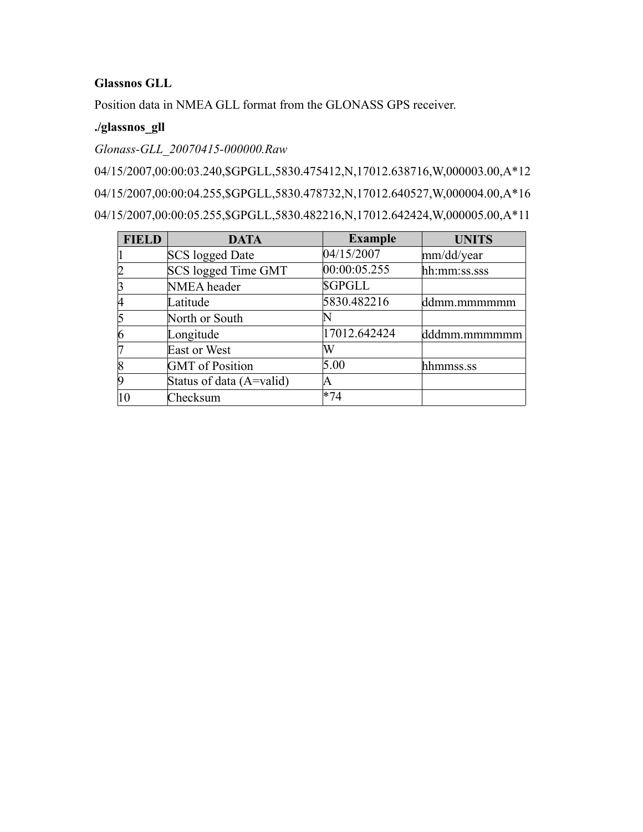#### **Glassnos GLL**

Position data in NMEA GLL format from the GLONASS GPS receiver.

#### **./glassnos\_gll**

*Glonass-GLL\_20070415-000000.Raw*

04/15/2007,00:00:03.240,\$GPGLL,5830.475412,N,17012.638716,W,000003.00,A\*12 04/15/2007,00:00:04.255,\$GPGLL,5830.478732,N,17012.640527,W,000004.00,A\*16 04/15/2007,00:00:05.255,\$GPGLL,5830.482216,N,17012.642424,W,000005.00,A\*11

| <b>FIELD</b> | <b>DATA</b>              | <b>Example</b> | <b>UNITS</b> |
|--------------|--------------------------|----------------|--------------|
|              | <b>SCS</b> logged Date   | 04/15/2007     | mm/dd/year   |
|              | SCS logged Time GMT      | 00:00:05.255   | hh:mm:ss.sss |
|              | NMEA header              | <b>SGPGLL</b>  |              |
|              | Latitude                 | 5830.482216    | ddmm.mmmmmm  |
|              | North or South           |                |              |
|              | Longitude                | 17012.642424   | dddmm.mmmmmm |
|              | East or West             | W              |              |
|              | <b>GMT</b> of Position   | 5.00           | hhmmss.ss    |
|              | Status of data (A=valid) |                |              |
|              | Checksum                 | $*74$          |              |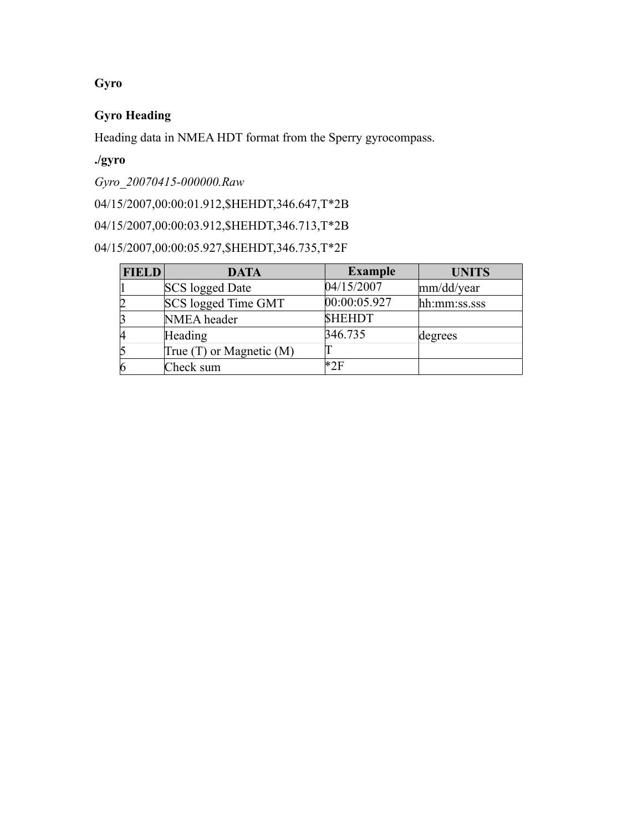# **Gyro**

# **Gyro Heading**

Heading data in NMEA HDT format from the Sperry gyrocompass.

# **./gyro**

*Gyro\_20070415-000000.Raw*

04/15/2007,00:00:01.912,\$HEHDT,346.647,T\*2B

04/15/2007,00:00:03.912,\$HEHDT,346.713,T\*2B

04/15/2007,00:00:05.927,\$HEHDT,346.735,T\*2F

| <b>FIELD</b> | <b>DATA</b>                  | <b>Example</b> | <b>UNITS</b> |
|--------------|------------------------------|----------------|--------------|
|              | <b>SCS</b> logged Date       | 04/15/2007     | mm/dd/year   |
|              | SCS logged Time GMT          | 00:00:05.927   | hh:mm:ss.sss |
|              | NMEA header                  | <b>SHEHDT</b>  |              |
|              | Heading                      | 346.735        | degrees      |
|              | True $(T)$ or Magnetic $(M)$ |                |              |
|              | Check sum                    | *2F            |              |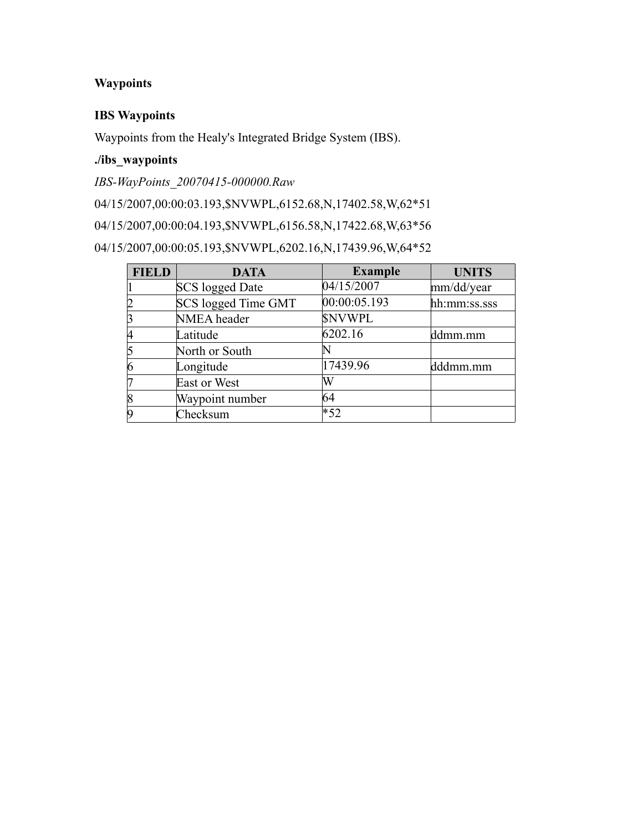# **Waypoints**

#### **IBS Waypoints**

Waypoints from the Healy's Integrated Bridge System (IBS).

# **./ibs\_waypoints**

*IBS-WayPoints\_20070415-000000.Raw*

04/15/2007,00:00:03.193,\$NVWPL,6152.68,N,17402.58,W,62\*51

04/15/2007,00:00:04.193,\$NVWPL,6156.58,N,17422.68,W,63\*56

04/15/2007,00:00:05.193,\$NVWPL,6202.16,N,17439.96,W,64\*52

| <b>FIELD</b>   | <b>DATA</b>            | <b>Example</b> | <b>UNITS</b> |
|----------------|------------------------|----------------|--------------|
|                | <b>SCS</b> logged Date | 04/15/2007     | mm/dd/year   |
| 2              | SCS logged Time GMT    | 00:00:05.193   | hh:mm:ss.sss |
| 3              | NMEA header            | <b>SNVWPL</b>  |              |
| 14             | Latitude               | 6202.16        | ddmm.mm      |
| 5              | North or South         |                |              |
| 6              | Longitude              | 17439.96       | dddmm.mm     |
|                | East or West           | W              |              |
| $\overline{8}$ | Waypoint number        | 64             |              |
| 9              | Checksum               | $*52$          |              |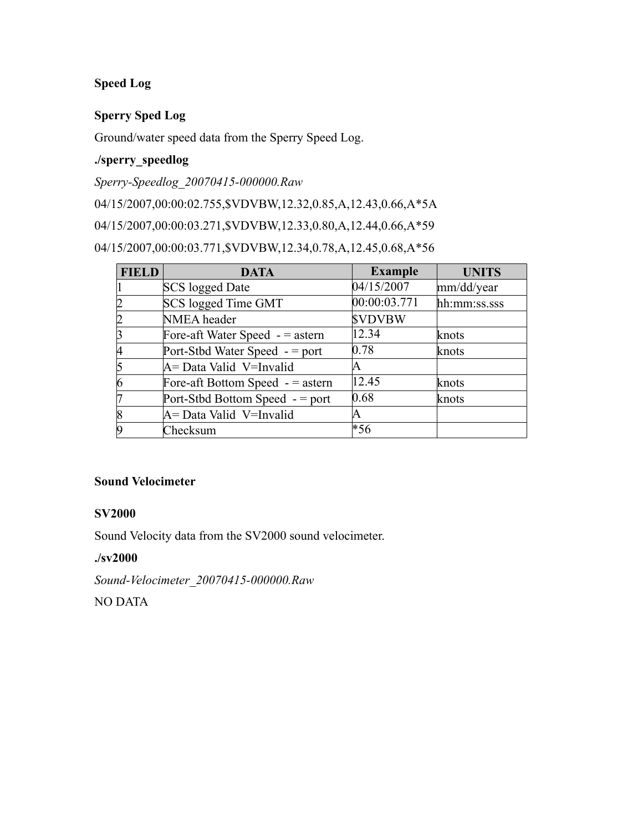# **Speed Log**

### **Sperry Sped Log**

Ground/water speed data from the Sperry Speed Log.

# **./sperry\_speedlog**

*Sperry-Speedlog\_20070415-000000.Raw*

04/15/2007,00:00:02.755,\$VDVBW,12.32,0.85,A,12.43,0.66,A\*5A

04/15/2007,00:00:03.271,\$VDVBW,12.33,0.80,A,12.44,0.66,A\*59

04/15/2007,00:00:03.771,\$VDVBW,12.34,0.78,A,12.45,0.68,A\*56

| <b>FIELD</b> | <b>DATA</b>                        | <b>Example</b> | <b>UNITS</b> |
|--------------|------------------------------------|----------------|--------------|
|              | SCS logged Date                    | 04/15/2007     | mm/dd/year   |
|              | SCS logged Time GMT                | 00:00:03.771   | hh:mm:ss.sss |
|              | NMEA header                        | <b>SVDVBW</b>  |              |
|              | Fore-aft Water Speed $-$ = astern  | 12.34          | knots        |
|              | Port-Stbd Water Speed $-$ = port   | 0.78           | knots        |
|              | A = Data Valid V = Invalid         | IA.            |              |
|              | Fore-aft Bottom Speed $-$ = astern | 12.45          | knots        |
|              | Port-Stbd Bottom Speed - = port    | 0.68           | knots        |
|              | A = Data Valid V = Invalid         | A              |              |
|              | Checksum                           | *56            |              |

#### **Sound Velocimeter**

#### **SV2000**

Sound Velocity data from the SV2000 sound velocimeter.

#### **./sv2000**

*Sound-Velocimeter\_20070415-000000.Raw*

NO DATA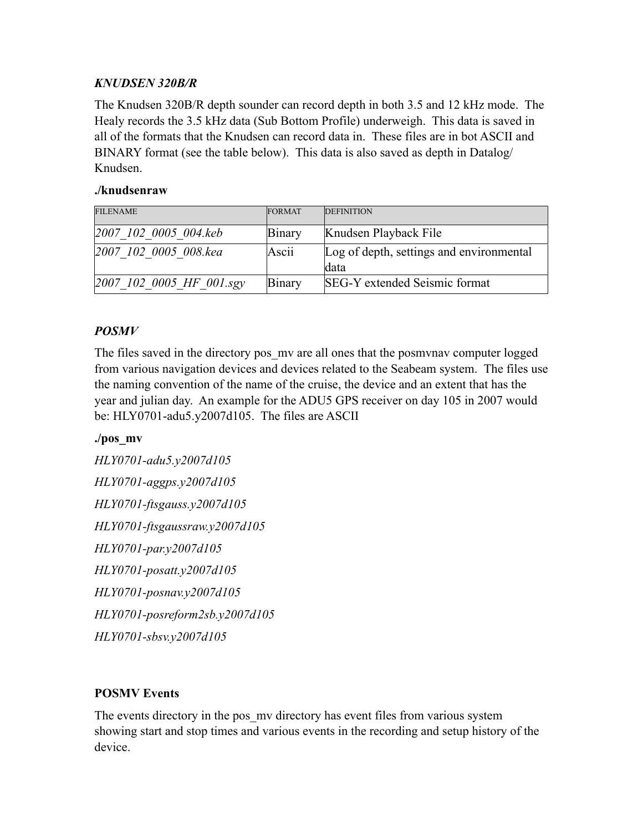# *KNUDSEN 320B/R*

The Knudsen 320B/R depth sounder can record depth in both 3.5 and 12 kHz mode. The Healy records the 3.5 kHz data (Sub Bottom Profile) underweigh. This data is saved in all of the formats that the Knudsen can record data in. These files are in bot ASCII and BINARY format (see the table below). This data is also saved as depth in Datalog/ Knudsen.

### **./knudsenraw**

| <b>FILENAME</b>                             | <b>FORMAT</b> | <b>DEFINITION</b>                        |
|---------------------------------------------|---------------|------------------------------------------|
| 2007 102 0005 004.keb                       | <b>Binary</b> | Knudsen Playback File                    |
| 2007 102 0005 008.kea                       | Ascii         | Log of depth, settings and environmental |
|                                             |               | ldata                                    |
| $[2007 \; 102 \; 0005 \; HF \; 001 \; sgy]$ | <b>Binary</b> | SEG-Y extended Seismic format            |

# *POSMV*

The files saved in the directory pos my are all ones that the posmynav computer logged from various navigation devices and devices related to the Seabeam system. The files use the naming convention of the name of the cruise, the device and an extent that has the year and julian day. An example for the ADU5 GPS receiver on day 105 in 2007 would be: HLY0701-adu5.y2007d105. The files are ASCII

# **./pos\_mv**

*HLY0701-adu5.y2007d105 HLY0701-aggps.y2007d105 HLY0701-ftsgauss.y2007d105 HLY0701-ftsgaussraw.y2007d105 HLY0701-par.y2007d105 HLY0701-posatt.y2007d105 HLY0701-posnav.y2007d105 HLY0701-posreform2sb.y2007d105 HLY0701-sbsv.y2007d105*

# **POSMV Events**

The events directory in the pos my directory has event files from various system showing start and stop times and various events in the recording and setup history of the device.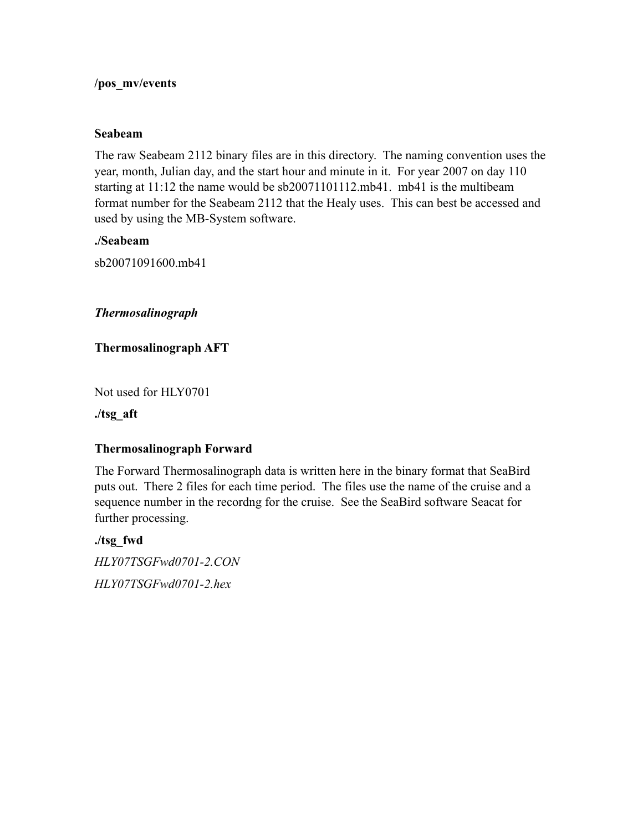#### **/pos\_mv/events**

#### **Seabeam**

The raw Seabeam 2112 binary files are in this directory. The naming convention uses the year, month, Julian day, and the start hour and minute in it. For year 2007 on day 110 starting at 11:12 the name would be sb20071101112.mb41. mb41 is the multibeam format number for the Seabeam 2112 that the Healy uses. This can best be accessed and used by using the MB-System software.

#### **./Seabeam**

sb20071091600.mb41

*Thermosalinograph*

**Thermosalinograph AFT**

Not used for HLY0701

**./tsg\_aft**

#### **Thermosalinograph Forward**

The Forward Thermosalinograph data is written here in the binary format that SeaBird puts out. There 2 files for each time period. The files use the name of the cruise and a sequence number in the recordng for the cruise. See the SeaBird software Seacat for further processing.

**./tsg\_fwd**

*HLY07TSGFwd0701-2.CON HLY07TSGFwd0701-2.hex*